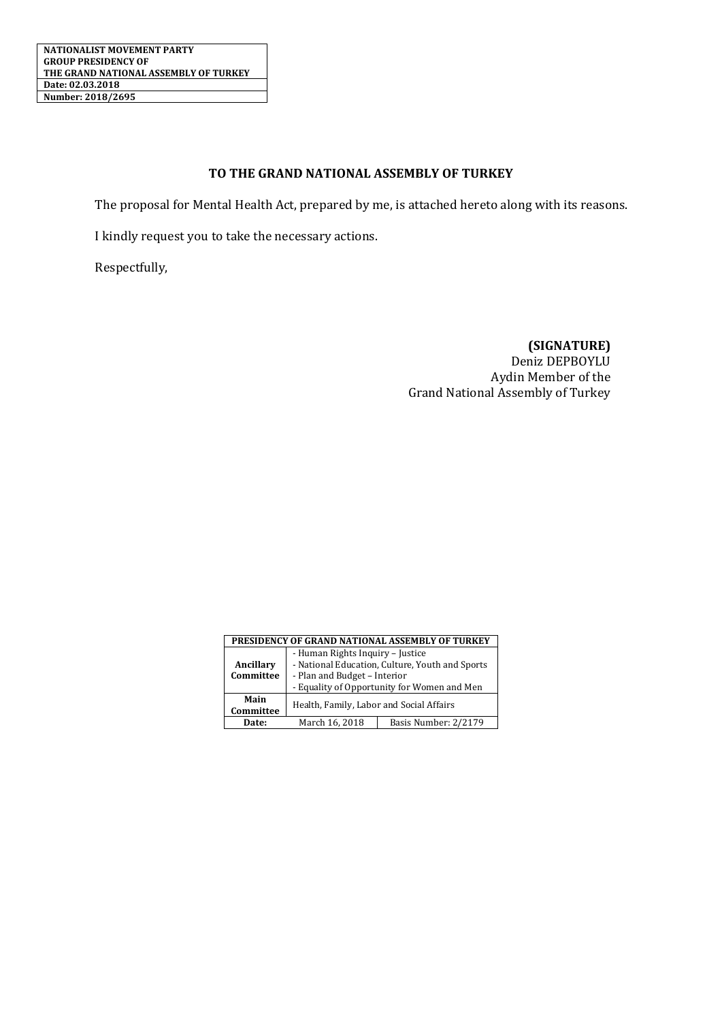## **TO THE GRAND NATIONAL ASSEMBLY OF TURKEY**

The proposal for Mental Health Act, prepared by me, is attached hereto along with its reasons.

I kindly request you to take the necessary actions.

Respectfully,

**(SIGNATURE)** Deniz DEPBOYLU Aydin Member of the Grand National Assembly of Turkey

| PRESIDENCY OF GRAND NATIONAL ASSEMBLY OF TURKEY |                                                                                                                                                                    |                      |
|-------------------------------------------------|--------------------------------------------------------------------------------------------------------------------------------------------------------------------|----------------------|
|                                                 | - Human Rights Inquiry - Justice<br>- National Education, Culture, Youth and Sports<br>- Plan and Budget - Interior<br>- Equality of Opportunity for Women and Men |                      |
| Ancillary                                       |                                                                                                                                                                    |                      |
| Committee                                       |                                                                                                                                                                    |                      |
|                                                 |                                                                                                                                                                    |                      |
| Main<br>Committee                               | Health, Family, Labor and Social Affairs                                                                                                                           |                      |
| Date:                                           | March 16, 2018                                                                                                                                                     | Basis Number: 2/2179 |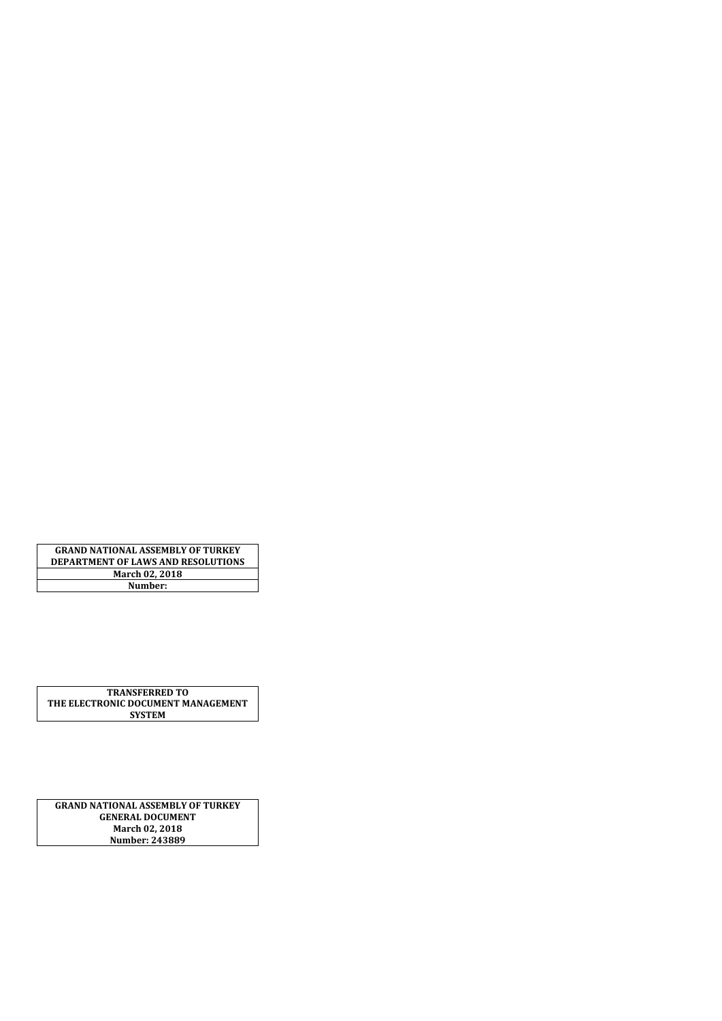**GRAND NATIONAL ASSEMBLY OF TURKEY DEPARTMENT OF LAWS AND RESOLUTIONS March 02, 2018 Number:**

**TRANSFERRED TO THE ELECTRONIC DOCUMENT MANAGEMENT SYSTEM**

**GRAND NATIONAL ASSEMBLY OF TURKEY GENERAL DOCUMENT March 02, 2018 Number: 243889**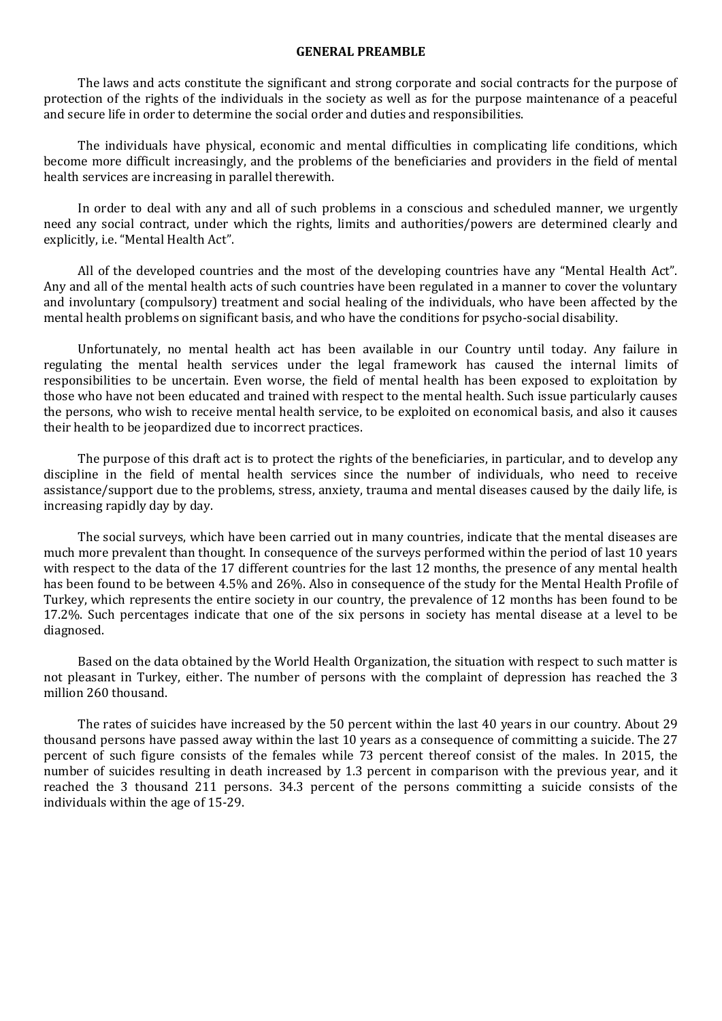#### **GENERAL PREAMBLE**

The laws and acts constitute the significant and strong corporate and social contracts for the purpose of protection of the rights of the individuals in the society as well as for the purpose maintenance of a peaceful and secure life in order to determine the social order and duties and responsibilities.

The individuals have physical, economic and mental difficulties in complicating life conditions, which become more difficult increasingly, and the problems of the beneficiaries and providers in the field of mental health services are increasing in parallel therewith.

In order to deal with any and all of such problems in a conscious and scheduled manner, we urgently need any social contract, under which the rights, limits and authorities/powers are determined clearly and explicitly, i.e. "Mental Health Act".

All of the developed countries and the most of the developing countries have any "Mental Health Act". Any and all of the mental health acts of such countries have been regulated in a manner to cover the voluntary and involuntary (compulsory) treatment and social healing of the individuals, who have been affected by the mental health problems on significant basis, and who have the conditions for psycho-social disability.

Unfortunately, no mental health act has been available in our Country until today. Any failure in regulating the mental health services under the legal framework has caused the internal limits of responsibilities to be uncertain. Even worse, the field of mental health has been exposed to exploitation by those who have not been educated and trained with respect to the mental health. Such issue particularly causes the persons, who wish to receive mental health service, to be exploited on economical basis, and also it causes their health to be jeopardized due to incorrect practices.

The purpose of this draft act is to protect the rights of the beneficiaries, in particular, and to develop any discipline in the field of mental health services since the number of individuals, who need to receive assistance/support due to the problems, stress, anxiety, trauma and mental diseases caused by the daily life, is increasing rapidly day by day.

The social surveys, which have been carried out in many countries, indicate that the mental diseases are much more prevalent than thought. In consequence of the surveys performed within the period of last 10 years with respect to the data of the 17 different countries for the last 12 months, the presence of any mental health has been found to be between 4.5% and 26%. Also in consequence of the study for the Mental Health Profile of Turkey, which represents the entire society in our country, the prevalence of 12 months has been found to be 17.2%. Such percentages indicate that one of the six persons in society has mental disease at a level to be diagnosed.

Based on the data obtained by the World Health Organization, the situation with respect to such matter is not pleasant in Turkey, either. The number of persons with the complaint of depression has reached the 3 million 260 thousand.

The rates of suicides have increased by the 50 percent within the last 40 years in our country. About 29 thousand persons have passed away within the last 10 years as a consequence of committing a suicide. The 27 percent of such figure consists of the females while 73 percent thereof consist of the males. In 2015, the number of suicides resulting in death increased by 1.3 percent in comparison with the previous year, and it reached the 3 thousand 211 persons. 34.3 percent of the persons committing a suicide consists of the individuals within the age of 15-29.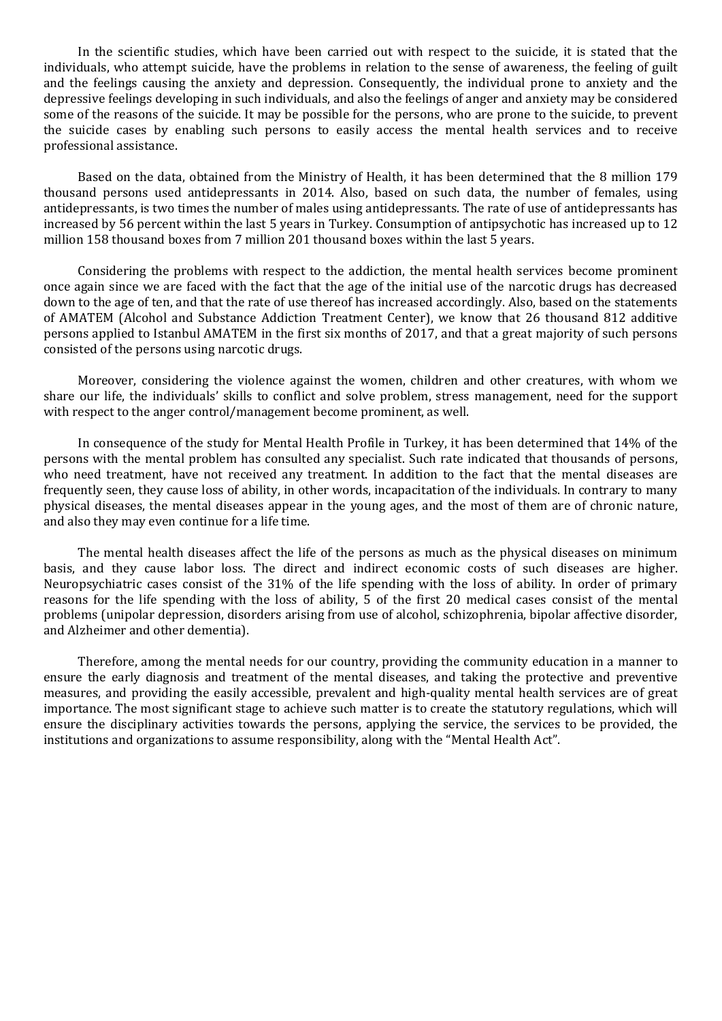In the scientific studies, which have been carried out with respect to the suicide, it is stated that the individuals, who attempt suicide, have the problems in relation to the sense of awareness, the feeling of guilt and the feelings causing the anxiety and depression. Consequently, the individual prone to anxiety and the depressive feelings developing in such individuals, and also the feelings of anger and anxiety may be considered some of the reasons of the suicide. It may be possible for the persons, who are prone to the suicide, to prevent the suicide cases by enabling such persons to easily access the mental health services and to receive professional assistance.

Based on the data, obtained from the Ministry of Health, it has been determined that the 8 million 179 thousand persons used antidepressants in 2014. Also, based on such data, the number of females, using antidepressants, is two times the number of males using antidepressants. The rate of use of antidepressants has increased by 56 percent within the last 5 years in Turkey. Consumption of antipsychotic has increased up to 12 million 158 thousand boxes from 7 million 201 thousand boxes within the last 5 years.

Considering the problems with respect to the addiction, the mental health services become prominent once again since we are faced with the fact that the age of the initial use of the narcotic drugs has decreased down to the age of ten, and that the rate of use thereof has increased accordingly. Also, based on the statements of AMATEM (Alcohol and Substance Addiction Treatment Center), we know that 26 thousand 812 additive persons applied to Istanbul AMATEM in the first six months of 2017, and that a great majority of such persons consisted of the persons using narcotic drugs.

Moreover, considering the violence against the women, children and other creatures, with whom we share our life, the individuals' skills to conflict and solve problem, stress management, need for the support with respect to the anger control/management become prominent, as well.

In consequence of the study for Mental Health Profile in Turkey, it has been determined that 14% of the persons with the mental problem has consulted any specialist. Such rate indicated that thousands of persons, who need treatment, have not received any treatment. In addition to the fact that the mental diseases are frequently seen, they cause loss of ability, in other words, incapacitation of the individuals. In contrary to many physical diseases, the mental diseases appear in the young ages, and the most of them are of chronic nature, and also they may even continue for a life time.

The mental health diseases affect the life of the persons as much as the physical diseases on minimum basis, and they cause labor loss. The direct and indirect economic costs of such diseases are higher. Neuropsychiatric cases consist of the 31% of the life spending with the loss of ability. In order of primary reasons for the life spending with the loss of ability, 5 of the first 20 medical cases consist of the mental problems (unipolar depression, disorders arising from use of alcohol, schizophrenia, bipolar affective disorder, and Alzheimer and other dementia).

Therefore, among the mental needs for our country, providing the community education in a manner to ensure the early diagnosis and treatment of the mental diseases, and taking the protective and preventive measures, and providing the easily accessible, prevalent and high-quality mental health services are of great importance. The most significant stage to achieve such matter is to create the statutory regulations, which will ensure the disciplinary activities towards the persons, applying the service, the services to be provided, the institutions and organizations to assume responsibility, along with the "Mental Health Act".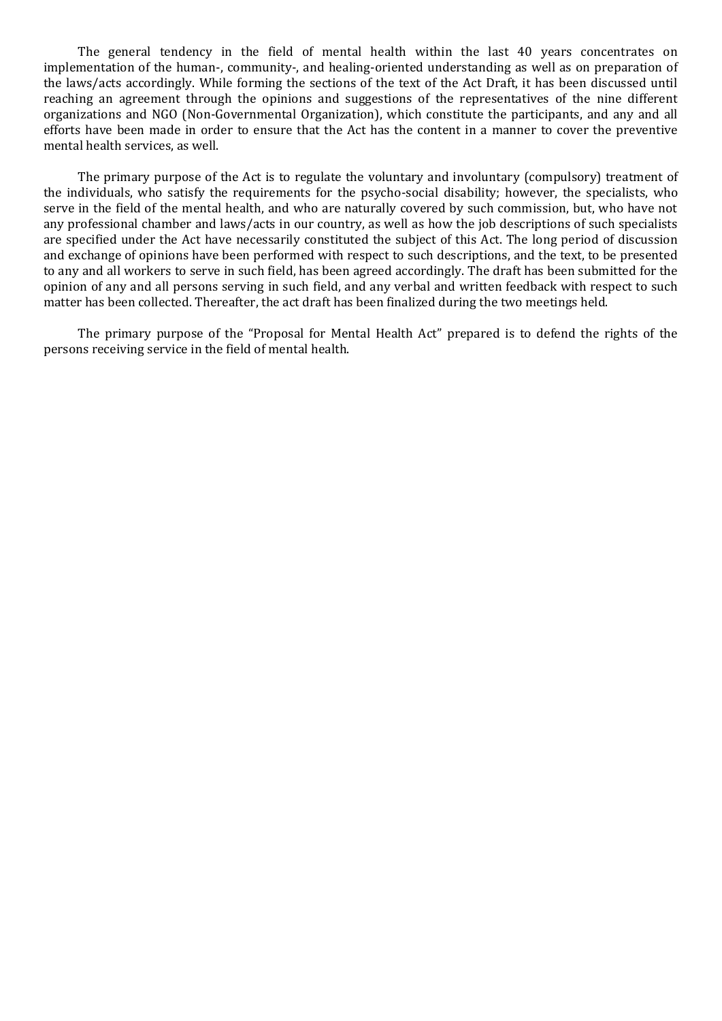The general tendency in the field of mental health within the last 40 years concentrates on implementation of the human-, community-, and healing-oriented understanding as well as on preparation of the laws/acts accordingly. While forming the sections of the text of the Act Draft, it has been discussed until reaching an agreement through the opinions and suggestions of the representatives of the nine different organizations and NGO (Non-Governmental Organization), which constitute the participants, and any and all efforts have been made in order to ensure that the Act has the content in a manner to cover the preventive mental health services, as well.

The primary purpose of the Act is to regulate the voluntary and involuntary (compulsory) treatment of the individuals, who satisfy the requirements for the psycho-social disability; however, the specialists, who serve in the field of the mental health, and who are naturally covered by such commission, but, who have not any professional chamber and laws/acts in our country, as well as how the job descriptions of such specialists are specified under the Act have necessarily constituted the subject of this Act. The long period of discussion and exchange of opinions have been performed with respect to such descriptions, and the text, to be presented to any and all workers to serve in such field, has been agreed accordingly. The draft has been submitted for the opinion of any and all persons serving in such field, and any verbal and written feedback with respect to such matter has been collected. Thereafter, the act draft has been finalized during the two meetings held.

The primary purpose of the "Proposal for Mental Health Act" prepared is to defend the rights of the persons receiving service in the field of mental health.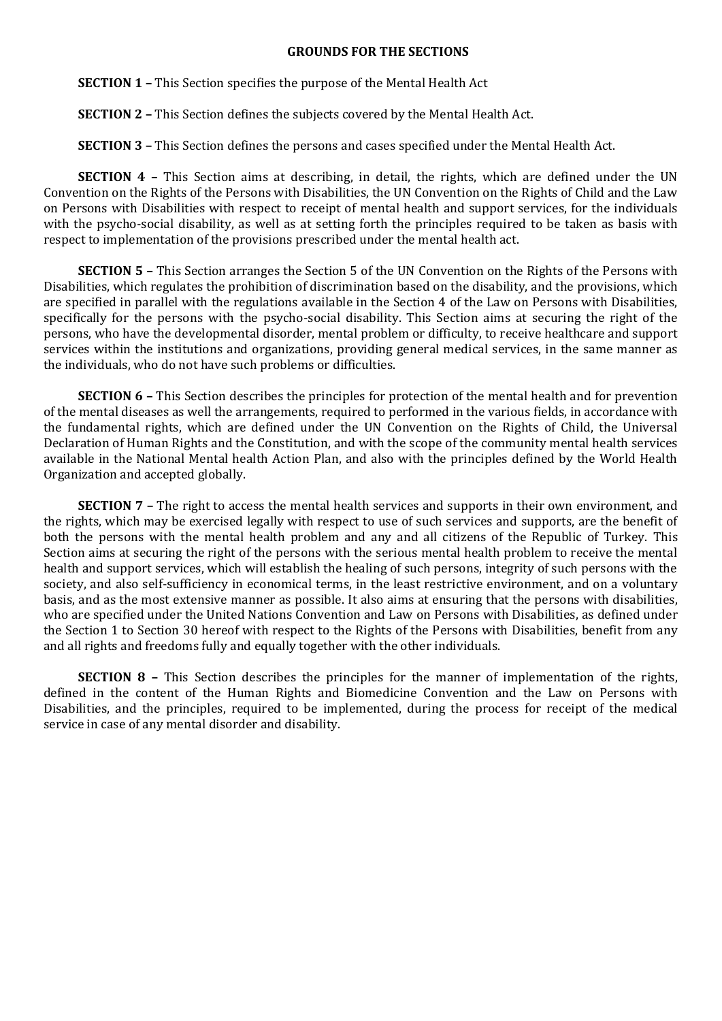#### **GROUNDS FOR THE SECTIONS**

**SECTION 1 –** This Section specifies the purpose of the Mental Health Act

**SECTION 2 –** This Section defines the subjects covered by the Mental Health Act.

**SECTION 3 –** This Section defines the persons and cases specified under the Mental Health Act.

**SECTION 4 –** This Section aims at describing, in detail, the rights, which are defined under the UN Convention on the Rights of the Persons with Disabilities, the UN Convention on the Rights of Child and the Law on Persons with Disabilities with respect to receipt of mental health and support services, for the individuals with the psycho-social disability, as well as at setting forth the principles required to be taken as basis with respect to implementation of the provisions prescribed under the mental health act.

**SECTION 5 –** This Section arranges the Section 5 of the UN Convention on the Rights of the Persons with Disabilities, which regulates the prohibition of discrimination based on the disability, and the provisions, which are specified in parallel with the regulations available in the Section 4 of the Law on Persons with Disabilities, specifically for the persons with the psycho-social disability. This Section aims at securing the right of the persons, who have the developmental disorder, mental problem or difficulty, to receive healthcare and support services within the institutions and organizations, providing general medical services, in the same manner as the individuals, who do not have such problems or difficulties.

**SECTION 6 –** This Section describes the principles for protection of the mental health and for prevention of the mental diseases as well the arrangements, required to performed in the various fields, in accordance with the fundamental rights, which are defined under the UN Convention on the Rights of Child, the Universal Declaration of Human Rights and the Constitution, and with the scope of the community mental health services available in the National Mental health Action Plan, and also with the principles defined by the World Health Organization and accepted globally.

**SECTION 7 -** The right to access the mental health services and supports in their own environment, and the rights, which may be exercised legally with respect to use of such services and supports, are the benefit of both the persons with the mental health problem and any and all citizens of the Republic of Turkey. This Section aims at securing the right of the persons with the serious mental health problem to receive the mental health and support services, which will establish the healing of such persons, integrity of such persons with the society, and also self-sufficiency in economical terms, in the least restrictive environment, and on a voluntary basis, and as the most extensive manner as possible. It also aims at ensuring that the persons with disabilities, who are specified under the United Nations Convention and Law on Persons with Disabilities, as defined under the Section 1 to Section 30 hereof with respect to the Rights of the Persons with Disabilities, benefit from any and all rights and freedoms fully and equally together with the other individuals.

**SECTION 8 –** This Section describes the principles for the manner of implementation of the rights, defined in the content of the Human Rights and Biomedicine Convention and the Law on Persons with Disabilities, and the principles, required to be implemented, during the process for receipt of the medical service in case of any mental disorder and disability.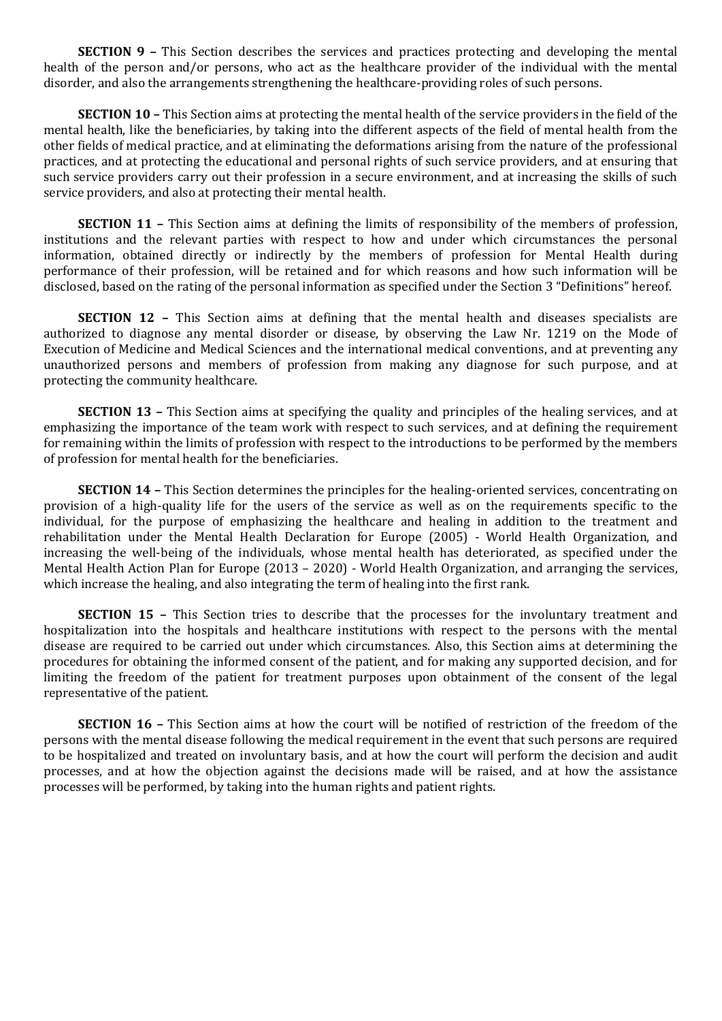**SECTION 9 –** This Section describes the services and practices protecting and developing the mental health of the person and/or persons, who act as the healthcare provider of the individual with the mental disorder, and also the arrangements strengthening the healthcare-providing roles of such persons.

**SECTION 10 –** This Section aims at protecting the mental health of the service providers in the field of the mental health, like the beneficiaries, by taking into the different aspects of the field of mental health from the other fields of medical practice, and at eliminating the deformations arising from the nature of the professional practices, and at protecting the educational and personal rights of such service providers, and at ensuring that such service providers carry out their profession in a secure environment, and at increasing the skills of such service providers, and also at protecting their mental health.

**SECTION 11 –** This Section aims at defining the limits of responsibility of the members of profession, institutions and the relevant parties with respect to how and under which circumstances the personal information, obtained directly or indirectly by the members of profession for Mental Health during performance of their profession, will be retained and for which reasons and how such information will be disclosed, based on the rating of the personal information as specified under the Section 3 "Definitions" hereof.

**SECTION 12 -** This Section aims at defining that the mental health and diseases specialists are authorized to diagnose any mental disorder or disease, by observing the Law Nr. 1219 on the Mode of Execution of Medicine and Medical Sciences and the international medical conventions, and at preventing any unauthorized persons and members of profession from making any diagnose for such purpose, and at protecting the community healthcare.

**SECTION 13 – This Section aims at specifying the quality and principles of the healing services, and at** emphasizing the importance of the team work with respect to such services, and at defining the requirement for remaining within the limits of profession with respect to the introductions to be performed by the members of profession for mental health for the beneficiaries.

**SECTION 14 –** This Section determines the principles for the healing-oriented services, concentrating on provision of a high-quality life for the users of the service as well as on the requirements specific to the individual, for the purpose of emphasizing the healthcare and healing in addition to the treatment and rehabilitation under the Mental Health Declaration for Europe (2005) - World Health Organization, and increasing the well-being of the individuals, whose mental health has deteriorated, as specified under the Mental Health Action Plan for Europe (2013 – 2020) - World Health Organization, and arranging the services, which increase the healing, and also integrating the term of healing into the first rank.

**SECTION 15 -** This Section tries to describe that the processes for the involuntary treatment and hospitalization into the hospitals and healthcare institutions with respect to the persons with the mental disease are required to be carried out under which circumstances. Also, this Section aims at determining the procedures for obtaining the informed consent of the patient, and for making any supported decision, and for limiting the freedom of the patient for treatment purposes upon obtainment of the consent of the legal representative of the patient.

**SECTION 16 –** This Section aims at how the court will be notified of restriction of the freedom of the persons with the mental disease following the medical requirement in the event that such persons are required to be hospitalized and treated on involuntary basis, and at how the court will perform the decision and audit processes, and at how the objection against the decisions made will be raised, and at how the assistance processes will be performed, by taking into the human rights and patient rights.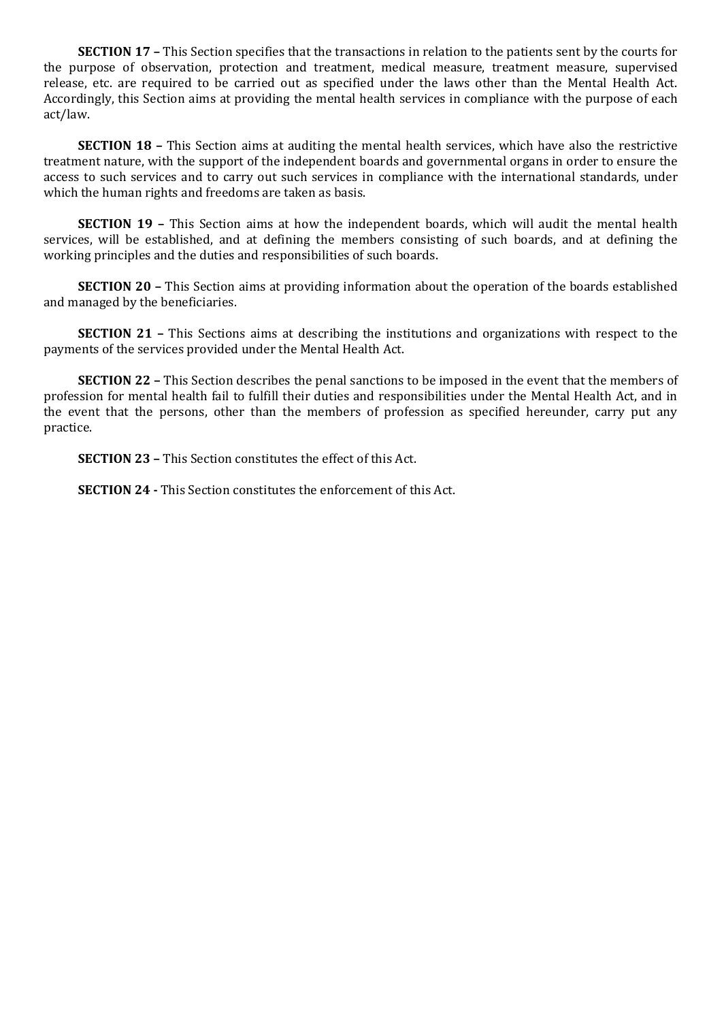**SECTION 17 –** This Section specifies that the transactions in relation to the patients sent by the courts for the purpose of observation, protection and treatment, medical measure, treatment measure, supervised release, etc. are required to be carried out as specified under the laws other than the Mental Health Act. Accordingly, this Section aims at providing the mental health services in compliance with the purpose of each act/law.

**SECTION 18 –** This Section aims at auditing the mental health services, which have also the restrictive treatment nature, with the support of the independent boards and governmental organs in order to ensure the access to such services and to carry out such services in compliance with the international standards, under which the human rights and freedoms are taken as basis.

**SECTION 19 –** This Section aims at how the independent boards, which will audit the mental health services, will be established, and at defining the members consisting of such boards, and at defining the working principles and the duties and responsibilities of such boards.

**SECTION 20 –** This Section aims at providing information about the operation of the boards established and managed by the beneficiaries.

**SECTION 21 –** This Sections aims at describing the institutions and organizations with respect to the payments of the services provided under the Mental Health Act.

**SECTION 22 –** This Section describes the penal sanctions to be imposed in the event that the members of profession for mental health fail to fulfill their duties and responsibilities under the Mental Health Act, and in the event that the persons, other than the members of profession as specified hereunder, carry put any practice.

**SECTION 23 –** This Section constitutes the effect of this Act.

**SECTION 24 -** This Section constitutes the enforcement of this Act.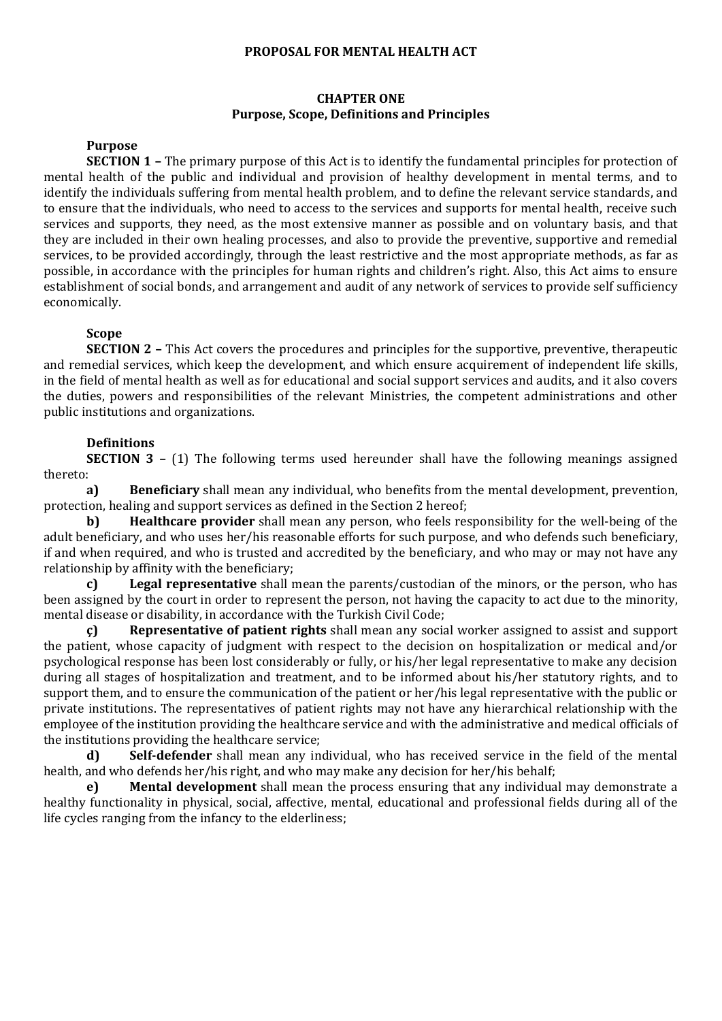#### **PROPOSAL FOR MENTAL HEALTH ACT**

### **CHAPTER ONE Purpose, Scope, Definitions and Principles**

# **Purpose**

**SECTION 1 –** The primary purpose of this Act is to identify the fundamental principles for protection of mental health of the public and individual and provision of healthy development in mental terms, and to identify the individuals suffering from mental health problem, and to define the relevant service standards, and to ensure that the individuals, who need to access to the services and supports for mental health, receive such services and supports, they need, as the most extensive manner as possible and on voluntary basis, and that they are included in their own healing processes, and also to provide the preventive, supportive and remedial services, to be provided accordingly, through the least restrictive and the most appropriate methods, as far as possible, in accordance with the principles for human rights and children's right. Also, this Act aims to ensure establishment of social bonds, and arrangement and audit of any network of services to provide self sufficiency economically.

## **Scope**

**SECTION 2 –** This Act covers the procedures and principles for the supportive, preventive, therapeutic and remedial services, which keep the development, and which ensure acquirement of independent life skills, in the field of mental health as well as for educational and social support services and audits, and it also covers the duties, powers and responsibilities of the relevant Ministries, the competent administrations and other public institutions and organizations.

## **Definitions**

**SECTION 3 –** (1) The following terms used hereunder shall have the following meanings assigned thereto:

**a) Beneficiary** shall mean any individual, who benefits from the mental development, prevention, protection, healing and support services as defined in the Section 2 hereof;

**b) Healthcare provider** shall mean any person, who feels responsibility for the well-being of the adult beneficiary, and who uses her/his reasonable efforts for such purpose, and who defends such beneficiary, if and when required, and who is trusted and accredited by the beneficiary, and who may or may not have any relationship by affinity with the beneficiary;

**c) Legal representative** shall mean the parents/custodian of the minors, or the person, who has been assigned by the court in order to represent the person, not having the capacity to act due to the minority, mental disease or disability, in accordance with the Turkish Civil Code;

**ç) Representative of patient rights** shall mean any social worker assigned to assist and support the patient, whose capacity of judgment with respect to the decision on hospitalization or medical and/or psychological response has been lost considerably or fully, or his/her legal representative to make any decision during all stages of hospitalization and treatment, and to be informed about his/her statutory rights, and to support them, and to ensure the communication of the patient or her/his legal representative with the public or private institutions. The representatives of patient rights may not have any hierarchical relationship with the employee of the institution providing the healthcare service and with the administrative and medical officials of the institutions providing the healthcare service;

**d) Self-defender** shall mean any individual, who has received service in the field of the mental health, and who defends her/his right, and who may make any decision for her/his behalf;

**e) Mental development** shall mean the process ensuring that any individual may demonstrate a healthy functionality in physical, social, affective, mental, educational and professional fields during all of the life cycles ranging from the infancy to the elderliness;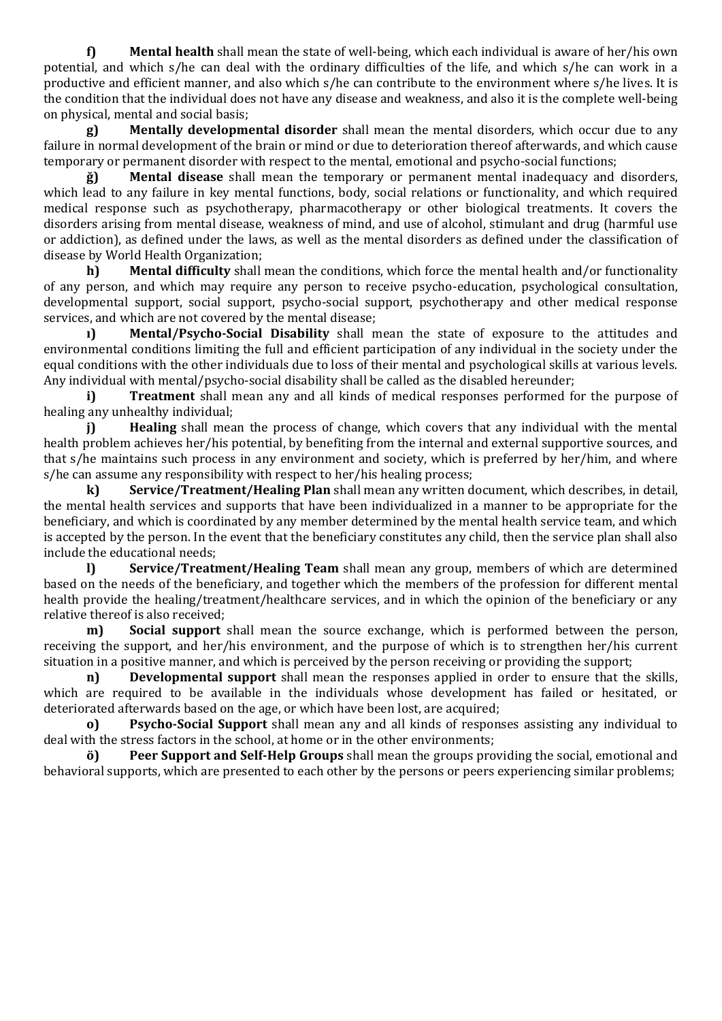**f) Mental health** shall mean the state of well-being, which each individual is aware of her/his own potential, and which s/he can deal with the ordinary difficulties of the life, and which s/he can work in a productive and efficient manner, and also which s/he can contribute to the environment where s/he lives. It is the condition that the individual does not have any disease and weakness, and also it is the complete well-being on physical, mental and social basis;

**g) Mentally developmental disorder** shall mean the mental disorders, which occur due to any failure in normal development of the brain or mind or due to deterioration thereof afterwards, and which cause temporary or permanent disorder with respect to the mental, emotional and psycho-social functions;

**ğ) Mental disease** shall mean the temporary or permanent mental inadequacy and disorders, which lead to any failure in key mental functions, body, social relations or functionality, and which required medical response such as psychotherapy, pharmacotherapy or other biological treatments. It covers the disorders arising from mental disease, weakness of mind, and use of alcohol, stimulant and drug (harmful use or addiction), as defined under the laws, as well as the mental disorders as defined under the classification of disease by World Health Organization;

**h) Mental difficulty** shall mean the conditions, which force the mental health and/or functionality of any person, and which may require any person to receive psycho-education, psychological consultation, developmental support, social support, psycho-social support, psychotherapy and other medical response services, and which are not covered by the mental disease;

**ı) Mental/Psycho-Social Disability** shall mean the state of exposure to the attitudes and environmental conditions limiting the full and efficient participation of any individual in the society under the equal conditions with the other individuals due to loss of their mental and psychological skills at various levels. Any individual with mental/psycho-social disability shall be called as the disabled hereunder;

**i) Treatment** shall mean any and all kinds of medical responses performed for the purpose of healing any unhealthy individual;

**j) Healing** shall mean the process of change, which covers that any individual with the mental health problem achieves her/his potential, by benefiting from the internal and external supportive sources, and that s/he maintains such process in any environment and society, which is preferred by her/him, and where s/he can assume any responsibility with respect to her/his healing process;

**k) Service/Treatment/Healing Plan** shall mean any written document, which describes, in detail, the mental health services and supports that have been individualized in a manner to be appropriate for the beneficiary, and which is coordinated by any member determined by the mental health service team, and which is accepted by the person. In the event that the beneficiary constitutes any child, then the service plan shall also include the educational needs;

**l) Service/Treatment/Healing Team** shall mean any group, members of which are determined based on the needs of the beneficiary, and together which the members of the profession for different mental health provide the healing/treatment/healthcare services, and in which the opinion of the beneficiary or any relative thereof is also received;

**m) Social support** shall mean the source exchange, which is performed between the person, receiving the support, and her/his environment, and the purpose of which is to strengthen her/his current situation in a positive manner, and which is perceived by the person receiving or providing the support;

**n) Developmental support** shall mean the responses applied in order to ensure that the skills, which are required to be available in the individuals whose development has failed or hesitated, or deteriorated afterwards based on the age, or which have been lost, are acquired;

**o) Psycho-Social Support** shall mean any and all kinds of responses assisting any individual to deal with the stress factors in the school, at home or in the other environments;

**ö) Peer Support and Self-Help Groups** shall mean the groups providing the social, emotional and behavioral supports, which are presented to each other by the persons or peers experiencing similar problems;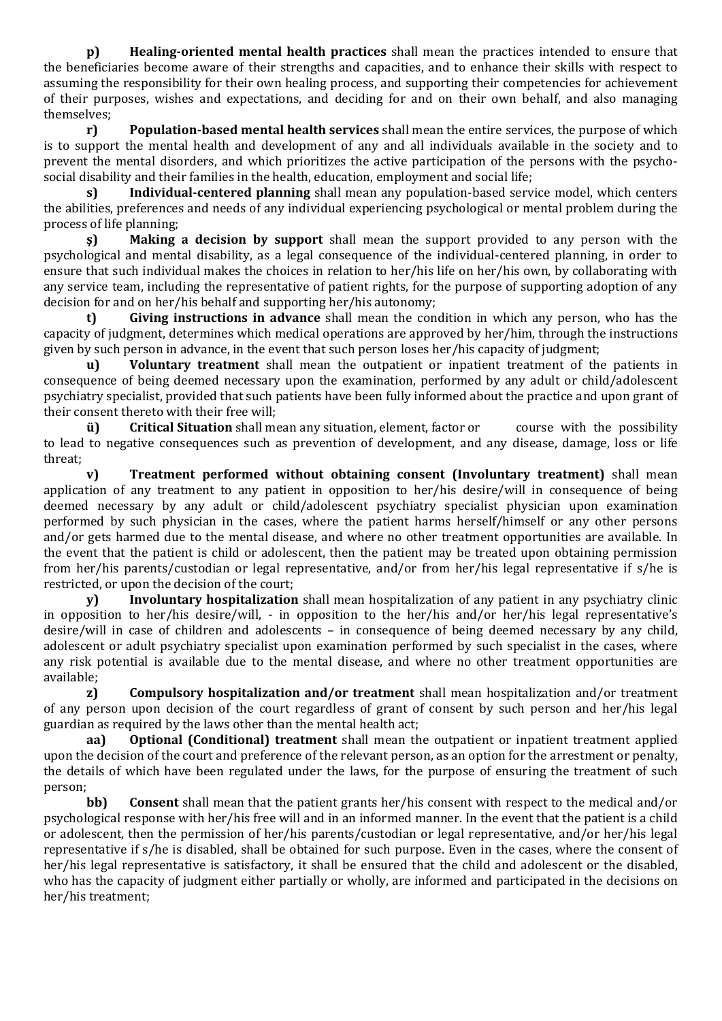**p) Healing-oriented mental health practices** shall mean the practices intended to ensure that the beneficiaries become aware of their strengths and capacities, and to enhance their skills with respect to assuming the responsibility for their own healing process, and supporting their competencies for achievement of their purposes, wishes and expectations, and deciding for and on their own behalf, and also managing themselves;

**r) Population-based mental health services** shall mean the entire services, the purpose of which is to support the mental health and development of any and all individuals available in the society and to prevent the mental disorders, and which prioritizes the active participation of the persons with the psychosocial disability and their families in the health, education, employment and social life;

**s) Individual-centered planning** shall mean any population-based service model, which centers the abilities, preferences and needs of any individual experiencing psychological or mental problem during the process of life planning;

**ş) Making a decision by support** shall mean the support provided to any person with the psychological and mental disability, as a legal consequence of the individual-centered planning, in order to ensure that such individual makes the choices in relation to her/his life on her/his own, by collaborating with any service team, including the representative of patient rights, for the purpose of supporting adoption of any decision for and on her/his behalf and supporting her/his autonomy;

**t) Giving instructions in advance** shall mean the condition in which any person, who has the capacity of judgment, determines which medical operations are approved by her/him, through the instructions given by such person in advance, in the event that such person loses her/his capacity of judgment;

**u) Voluntary treatment** shall mean the outpatient or inpatient treatment of the patients in consequence of being deemed necessary upon the examination, performed by any adult or child/adolescent psychiatry specialist, provided that such patients have been fully informed about the practice and upon grant of their consent thereto with their free will;

**ü) Critical Situation** shall mean any situation, element, factor or course with the possibility to lead to negative consequences such as prevention of development, and any disease, damage, loss or life threat;

**v) Treatment performed without obtaining consent (Involuntary treatment)** shall mean application of any treatment to any patient in opposition to her/his desire/will in consequence of being deemed necessary by any adult or child/adolescent psychiatry specialist physician upon examination performed by such physician in the cases, where the patient harms herself/himself or any other persons and/or gets harmed due to the mental disease, and where no other treatment opportunities are available. In the event that the patient is child or adolescent, then the patient may be treated upon obtaining permission from her/his parents/custodian or legal representative, and/or from her/his legal representative if s/he is restricted, or upon the decision of the court;

**y) Involuntary hospitalization** shall mean hospitalization of any patient in any psychiatry clinic in opposition to her/his desire/will, - in opposition to the her/his and/or her/his legal representative's desire/will in case of children and adolescents – in consequence of being deemed necessary by any child, adolescent or adult psychiatry specialist upon examination performed by such specialist in the cases, where any risk potential is available due to the mental disease, and where no other treatment opportunities are available;

**z) Compulsory hospitalization and/or treatment** shall mean hospitalization and/or treatment of any person upon decision of the court regardless of grant of consent by such person and her/his legal guardian as required by the laws other than the mental health act;

**aa) Optional (Conditional) treatment** shall mean the outpatient or inpatient treatment applied upon the decision of the court and preference of the relevant person, as an option for the arrestment or penalty, the details of which have been regulated under the laws, for the purpose of ensuring the treatment of such person;

**bb) Consent** shall mean that the patient grants her/his consent with respect to the medical and/or psychological response with her/his free will and in an informed manner. In the event that the patient is a child or adolescent, then the permission of her/his parents/custodian or legal representative, and/or her/his legal representative if s/he is disabled, shall be obtained for such purpose. Even in the cases, where the consent of her/his legal representative is satisfactory, it shall be ensured that the child and adolescent or the disabled, who has the capacity of judgment either partially or wholly, are informed and participated in the decisions on her/his treatment;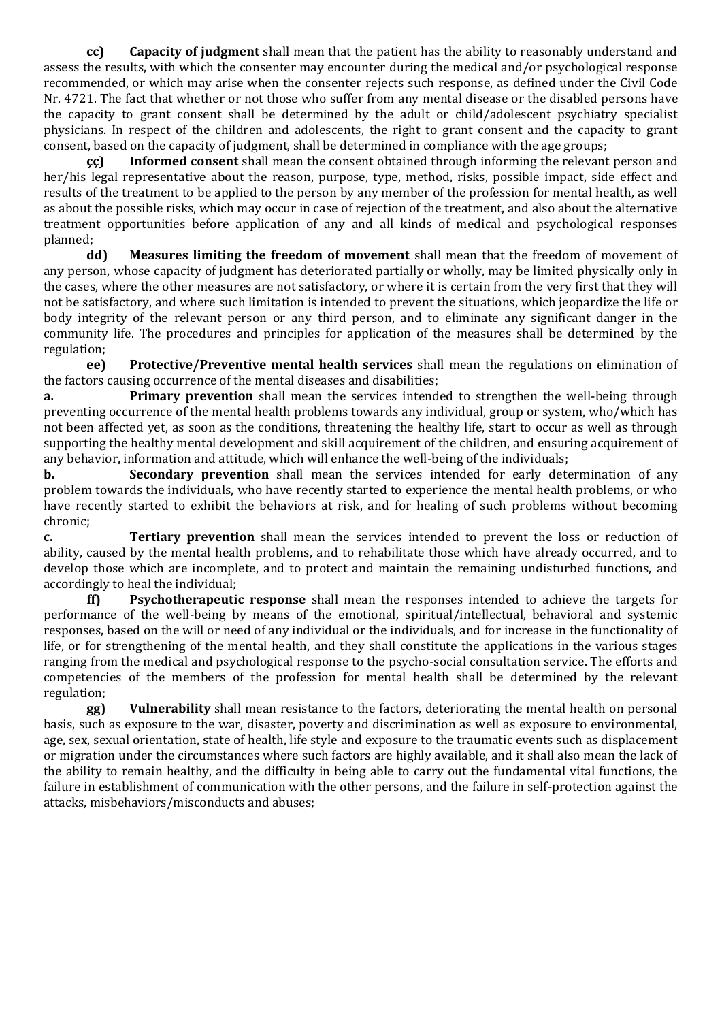**cc) Capacity of judgment** shall mean that the patient has the ability to reasonably understand and assess the results, with which the consenter may encounter during the medical and/or psychological response recommended, or which may arise when the consenter rejects such response, as defined under the Civil Code Nr. 4721. The fact that whether or not those who suffer from any mental disease or the disabled persons have the capacity to grant consent shall be determined by the adult or child/adolescent psychiatry specialist physicians. In respect of the children and adolescents, the right to grant consent and the capacity to grant consent, based on the capacity of judgment, shall be determined in compliance with the age groups;

**çç) Informed consent** shall mean the consent obtained through informing the relevant person and her/his legal representative about the reason, purpose, type, method, risks, possible impact, side effect and results of the treatment to be applied to the person by any member of the profession for mental health, as well as about the possible risks, which may occur in case of rejection of the treatment, and also about the alternative treatment opportunities before application of any and all kinds of medical and psychological responses planned;

**dd) Measures limiting the freedom of movement** shall mean that the freedom of movement of any person, whose capacity of judgment has deteriorated partially or wholly, may be limited physically only in the cases, where the other measures are not satisfactory, or where it is certain from the very first that they will not be satisfactory, and where such limitation is intended to prevent the situations, which jeopardize the life or body integrity of the relevant person or any third person, and to eliminate any significant danger in the community life. The procedures and principles for application of the measures shall be determined by the regulation;

**ee) Protective/Preventive mental health services** shall mean the regulations on elimination of the factors causing occurrence of the mental diseases and disabilities;

**a. Primary prevention** shall mean the services intended to strengthen the well-being through preventing occurrence of the mental health problems towards any individual, group or system, who/which has not been affected yet, as soon as the conditions, threatening the healthy life, start to occur as well as through supporting the healthy mental development and skill acquirement of the children, and ensuring acquirement of any behavior, information and attitude, which will enhance the well-being of the individuals;

**b. Secondary prevention** shall mean the services intended for early determination of any problem towards the individuals, who have recently started to experience the mental health problems, or who have recently started to exhibit the behaviors at risk, and for healing of such problems without becoming chronic;

**c. Tertiary prevention** shall mean the services intended to prevent the loss or reduction of ability, caused by the mental health problems, and to rehabilitate those which have already occurred, and to develop those which are incomplete, and to protect and maintain the remaining undisturbed functions, and accordingly to heal the individual;

**ff) Psychotherapeutic response** shall mean the responses intended to achieve the targets for performance of the well-being by means of the emotional, spiritual/intellectual, behavioral and systemic responses, based on the will or need of any individual or the individuals, and for increase in the functionality of life, or for strengthening of the mental health, and they shall constitute the applications in the various stages ranging from the medical and psychological response to the psycho-social consultation service. The efforts and competencies of the members of the profession for mental health shall be determined by the relevant regulation;

**gg) Vulnerability** shall mean resistance to the factors, deteriorating the mental health on personal basis, such as exposure to the war, disaster, poverty and discrimination as well as exposure to environmental, age, sex, sexual orientation, state of health, life style and exposure to the traumatic events such as displacement or migration under the circumstances where such factors are highly available, and it shall also mean the lack of the ability to remain healthy, and the difficulty in being able to carry out the fundamental vital functions, the failure in establishment of communication with the other persons, and the failure in self-protection against the attacks, misbehaviors/misconducts and abuses;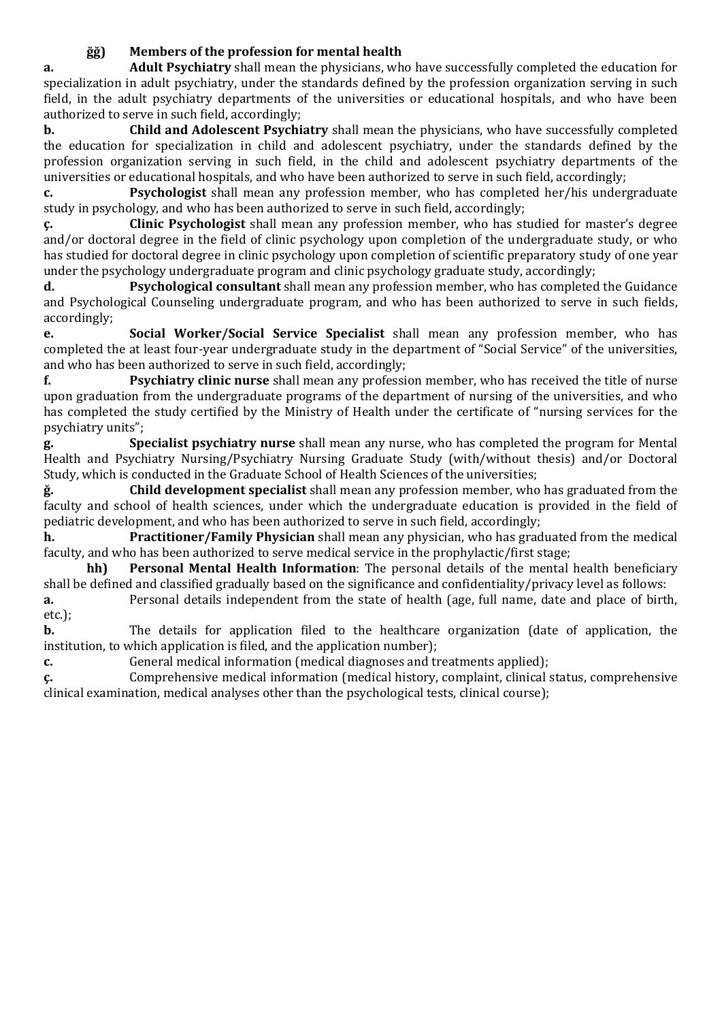# **ğğ) Members of the profession for mental health**

**a. Adult Psychiatry** shall mean the physicians, who have successfully completed the education for specialization in adult psychiatry, under the standards defined by the profession organization serving in such field, in the adult psychiatry departments of the universities or educational hospitals, and who have been authorized to serve in such field, accordingly;

**b. Child and Adolescent Psychiatry** shall mean the physicians, who have successfully completed the education for specialization in child and adolescent psychiatry, under the standards defined by the profession organization serving in such field, in the child and adolescent psychiatry departments of the universities or educational hospitals, and who have been authorized to serve in such field, accordingly;

**c. Psychologist** shall mean any profession member, who has completed her/his undergraduate study in psychology, and who has been authorized to serve in such field, accordingly;

**ç. Clinic Psychologist** shall mean any profession member, who has studied for master's degree and/or doctoral degree in the field of clinic psychology upon completion of the undergraduate study, or who has studied for doctoral degree in clinic psychology upon completion of scientific preparatory study of one year under the psychology undergraduate program and clinic psychology graduate study, accordingly;

**d. Psychological consultant** shall mean any profession member, who has completed the Guidance and Psychological Counseling undergraduate program, and who has been authorized to serve in such fields, accordingly;

**e. Social Worker/Social Service Specialist** shall mean any profession member, who has completed the at least four-year undergraduate study in the department of "Social Service" of the universities, and who has been authorized to serve in such field, accordingly;

**f. Psychiatry clinic nurse** shall mean any profession member, who has received the title of nurse upon graduation from the undergraduate programs of the department of nursing of the universities, and who has completed the study certified by the Ministry of Health under the certificate of "nursing services for the psychiatry units";

**g. Specialist psychiatry nurse** shall mean any nurse, who has completed the program for Mental Health and Psychiatry Nursing/Psychiatry Nursing Graduate Study (with/without thesis) and/or Doctoral Study, which is conducted in the Graduate School of Health Sciences of the universities;

**ğ. Child development specialist** shall mean any profession member, who has graduated from the faculty and school of health sciences, under which the undergraduate education is provided in the field of pediatric development, and who has been authorized to serve in such field, accordingly;

**h. Practitioner/Family Physician** shall mean any physician, who has graduated from the medical faculty, and who has been authorized to serve medical service in the prophylactic/first stage;

**hh) Personal Mental Health Information**: The personal details of the mental health beneficiary shall be defined and classified gradually based on the significance and confidentiality/privacy level as follows:

**a.** Personal details independent from the state of health (age, full name, date and place of birth, etc.);

**b.** The details for application filed to the healthcare organization (date of application, the institution, to which application is filed, and the application number);

**c.** General medical information (medical diagnoses and treatments applied);

**ç.** Comprehensive medical information (medical history, complaint, clinical status, comprehensive clinical examination, medical analyses other than the psychological tests, clinical course);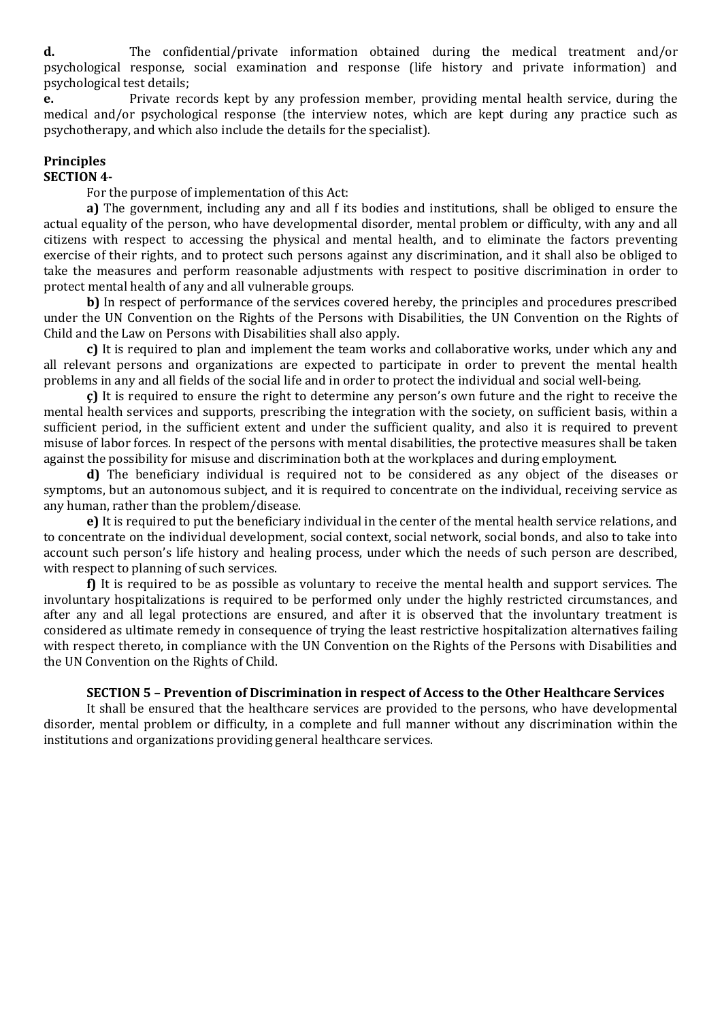**d.** The confidential/private information obtained during the medical treatment and/or psychological response, social examination and response (life history and private information) and psychological test details;

**e.** Private records kept by any profession member, providing mental health service, during the medical and/or psychological response (the interview notes, which are kept during any practice such as psychotherapy, and which also include the details for the specialist).

## **Principles**

## **SECTION 4-**

For the purpose of implementation of this Act:

**a)** The government, including any and all f its bodies and institutions, shall be obliged to ensure the actual equality of the person, who have developmental disorder, mental problem or difficulty, with any and all citizens with respect to accessing the physical and mental health, and to eliminate the factors preventing exercise of their rights, and to protect such persons against any discrimination, and it shall also be obliged to take the measures and perform reasonable adjustments with respect to positive discrimination in order to protect mental health of any and all vulnerable groups.

**b)** In respect of performance of the services covered hereby, the principles and procedures prescribed under the UN Convention on the Rights of the Persons with Disabilities, the UN Convention on the Rights of Child and the Law on Persons with Disabilities shall also apply.

**c)** It is required to plan and implement the team works and collaborative works, under which any and all relevant persons and organizations are expected to participate in order to prevent the mental health problems in any and all fields of the social life and in order to protect the individual and social well-being.

**ç)** It is required to ensure the right to determine any person's own future and the right to receive the mental health services and supports, prescribing the integration with the society, on sufficient basis, within a sufficient period, in the sufficient extent and under the sufficient quality, and also it is required to prevent misuse of labor forces. In respect of the persons with mental disabilities, the protective measures shall be taken against the possibility for misuse and discrimination both at the workplaces and during employment.

**d)** The beneficiary individual is required not to be considered as any object of the diseases or symptoms, but an autonomous subject, and it is required to concentrate on the individual, receiving service as any human, rather than the problem/disease.

**e)** It is required to put the beneficiary individual in the center of the mental health service relations, and to concentrate on the individual development, social context, social network, social bonds, and also to take into account such person's life history and healing process, under which the needs of such person are described, with respect to planning of such services.

**f)** It is required to be as possible as voluntary to receive the mental health and support services. The involuntary hospitalizations is required to be performed only under the highly restricted circumstances, and after any and all legal protections are ensured, and after it is observed that the involuntary treatment is considered as ultimate remedy in consequence of trying the least restrictive hospitalization alternatives failing with respect thereto, in compliance with the UN Convention on the Rights of the Persons with Disabilities and the UN Convention on the Rights of Child.

## **SECTION 5 – Prevention of Discrimination in respect of Access to the Other Healthcare Services**

It shall be ensured that the healthcare services are provided to the persons, who have developmental disorder, mental problem or difficulty, in a complete and full manner without any discrimination within the institutions and organizations providing general healthcare services.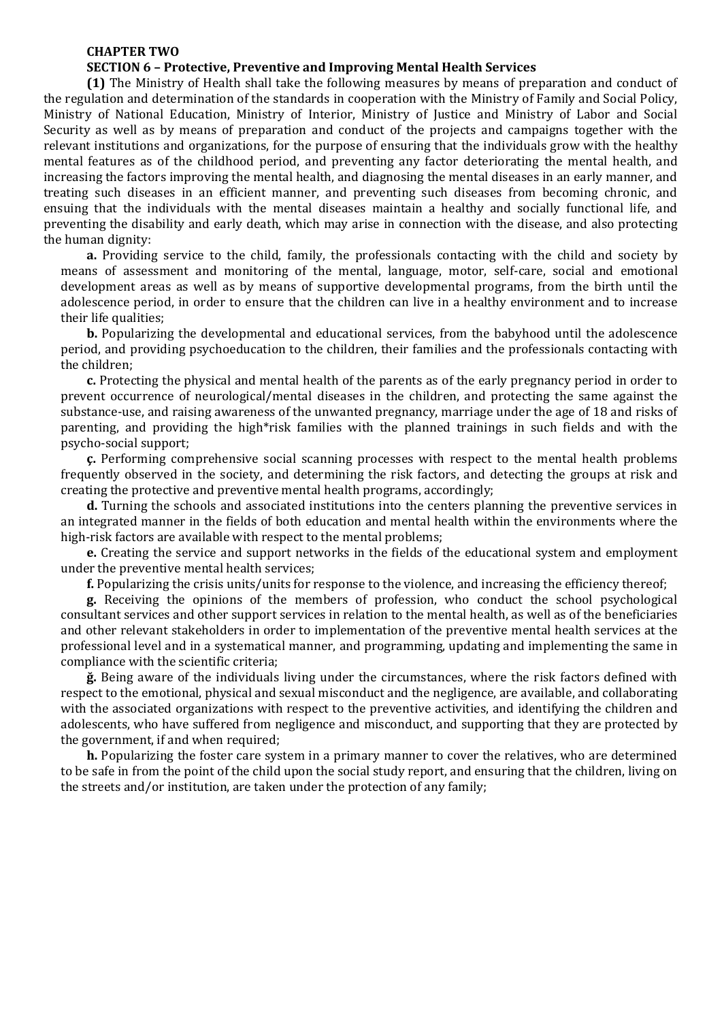#### **CHAPTER TWO**

#### **SECTION 6 – Protective, Preventive and Improving Mental Health Services**

**(1)** The Ministry of Health shall take the following measures by means of preparation and conduct of the regulation and determination of the standards in cooperation with the Ministry of Family and Social Policy, Ministry of National Education, Ministry of Interior, Ministry of Justice and Ministry of Labor and Social Security as well as by means of preparation and conduct of the projects and campaigns together with the relevant institutions and organizations, for the purpose of ensuring that the individuals grow with the healthy mental features as of the childhood period, and preventing any factor deteriorating the mental health, and increasing the factors improving the mental health, and diagnosing the mental diseases in an early manner, and treating such diseases in an efficient manner, and preventing such diseases from becoming chronic, and ensuing that the individuals with the mental diseases maintain a healthy and socially functional life, and preventing the disability and early death, which may arise in connection with the disease, and also protecting the human dignity:

**a.** Providing service to the child, family, the professionals contacting with the child and society by means of assessment and monitoring of the mental, language, motor, self-care, social and emotional development areas as well as by means of supportive developmental programs, from the birth until the adolescence period, in order to ensure that the children can live in a healthy environment and to increase their life qualities;

**b.** Popularizing the developmental and educational services, from the babyhood until the adolescence period, and providing psychoeducation to the children, their families and the professionals contacting with the children;

**c.** Protecting the physical and mental health of the parents as of the early pregnancy period in order to prevent occurrence of neurological/mental diseases in the children, and protecting the same against the substance-use, and raising awareness of the unwanted pregnancy, marriage under the age of 18 and risks of parenting, and providing the high\*risk families with the planned trainings in such fields and with the psycho-social support;

**ç.** Performing comprehensive social scanning processes with respect to the mental health problems frequently observed in the society, and determining the risk factors, and detecting the groups at risk and creating the protective and preventive mental health programs, accordingly;

**d.** Turning the schools and associated institutions into the centers planning the preventive services in an integrated manner in the fields of both education and mental health within the environments where the high-risk factors are available with respect to the mental problems;

**e.** Creating the service and support networks in the fields of the educational system and employment under the preventive mental health services;

**f.** Popularizing the crisis units/units for response to the violence, and increasing the efficiency thereof;

**g.** Receiving the opinions of the members of profession, who conduct the school psychological consultant services and other support services in relation to the mental health, as well as of the beneficiaries and other relevant stakeholders in order to implementation of the preventive mental health services at the professional level and in a systematical manner, and programming, updating and implementing the same in compliance with the scientific criteria;

**ğ.** Being aware of the individuals living under the circumstances, where the risk factors defined with respect to the emotional, physical and sexual misconduct and the negligence, are available, and collaborating with the associated organizations with respect to the preventive activities, and identifying the children and adolescents, who have suffered from negligence and misconduct, and supporting that they are protected by the government, if and when required;

**h.** Popularizing the foster care system in a primary manner to cover the relatives, who are determined to be safe in from the point of the child upon the social study report, and ensuring that the children, living on the streets and/or institution, are taken under the protection of any family;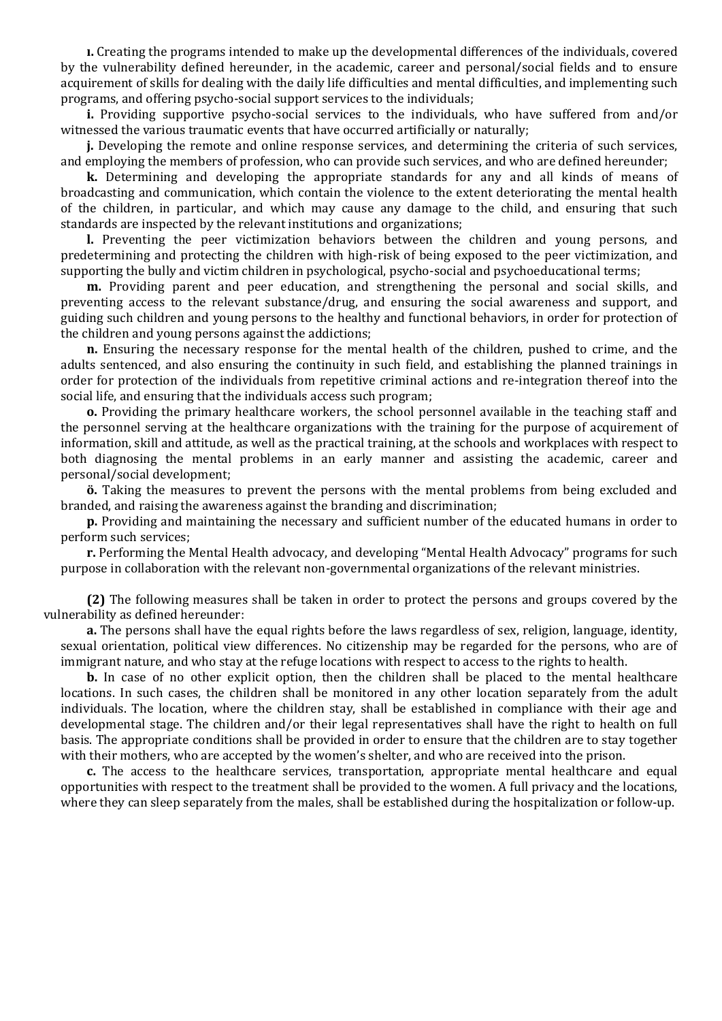**ı.** Creating the programs intended to make up the developmental differences of the individuals, covered by the vulnerability defined hereunder, in the academic, career and personal/social fields and to ensure acquirement of skills for dealing with the daily life difficulties and mental difficulties, and implementing such programs, and offering psycho-social support services to the individuals;

**i.** Providing supportive psycho-social services to the individuals, who have suffered from and/or witnessed the various traumatic events that have occurred artificially or naturally;

**j.** Developing the remote and online response services, and determining the criteria of such services, and employing the members of profession, who can provide such services, and who are defined hereunder;

**k.** Determining and developing the appropriate standards for any and all kinds of means of broadcasting and communication, which contain the violence to the extent deteriorating the mental health of the children, in particular, and which may cause any damage to the child, and ensuring that such standards are inspected by the relevant institutions and organizations;

**l.** Preventing the peer victimization behaviors between the children and young persons, and predetermining and protecting the children with high-risk of being exposed to the peer victimization, and supporting the bully and victim children in psychological, psycho-social and psychoeducational terms;

**m.** Providing parent and peer education, and strengthening the personal and social skills, and preventing access to the relevant substance/drug, and ensuring the social awareness and support, and guiding such children and young persons to the healthy and functional behaviors, in order for protection of the children and young persons against the addictions;

**n.** Ensuring the necessary response for the mental health of the children, pushed to crime, and the adults sentenced, and also ensuring the continuity in such field, and establishing the planned trainings in order for protection of the individuals from repetitive criminal actions and re-integration thereof into the social life, and ensuring that the individuals access such program;

**o.** Providing the primary healthcare workers, the school personnel available in the teaching staff and the personnel serving at the healthcare organizations with the training for the purpose of acquirement of information, skill and attitude, as well as the practical training, at the schools and workplaces with respect to both diagnosing the mental problems in an early manner and assisting the academic, career and personal/social development;

**ö.** Taking the measures to prevent the persons with the mental problems from being excluded and branded, and raising the awareness against the branding and discrimination;

**p.** Providing and maintaining the necessary and sufficient number of the educated humans in order to perform such services;

**r.** Performing the Mental Health advocacy, and developing "Mental Health Advocacy" programs for such purpose in collaboration with the relevant non-governmental organizations of the relevant ministries.

**(2)** The following measures shall be taken in order to protect the persons and groups covered by the vulnerability as defined hereunder:

**a.** The persons shall have the equal rights before the laws regardless of sex, religion, language, identity, sexual orientation, political view differences. No citizenship may be regarded for the persons, who are of immigrant nature, and who stay at the refuge locations with respect to access to the rights to health.

**b.** In case of no other explicit option, then the children shall be placed to the mental healthcare locations. In such cases, the children shall be monitored in any other location separately from the adult individuals. The location, where the children stay, shall be established in compliance with their age and developmental stage. The children and/or their legal representatives shall have the right to health on full basis. The appropriate conditions shall be provided in order to ensure that the children are to stay together with their mothers, who are accepted by the women's shelter, and who are received into the prison.

**c.** The access to the healthcare services, transportation, appropriate mental healthcare and equal opportunities with respect to the treatment shall be provided to the women. A full privacy and the locations, where they can sleep separately from the males, shall be established during the hospitalization or follow-up.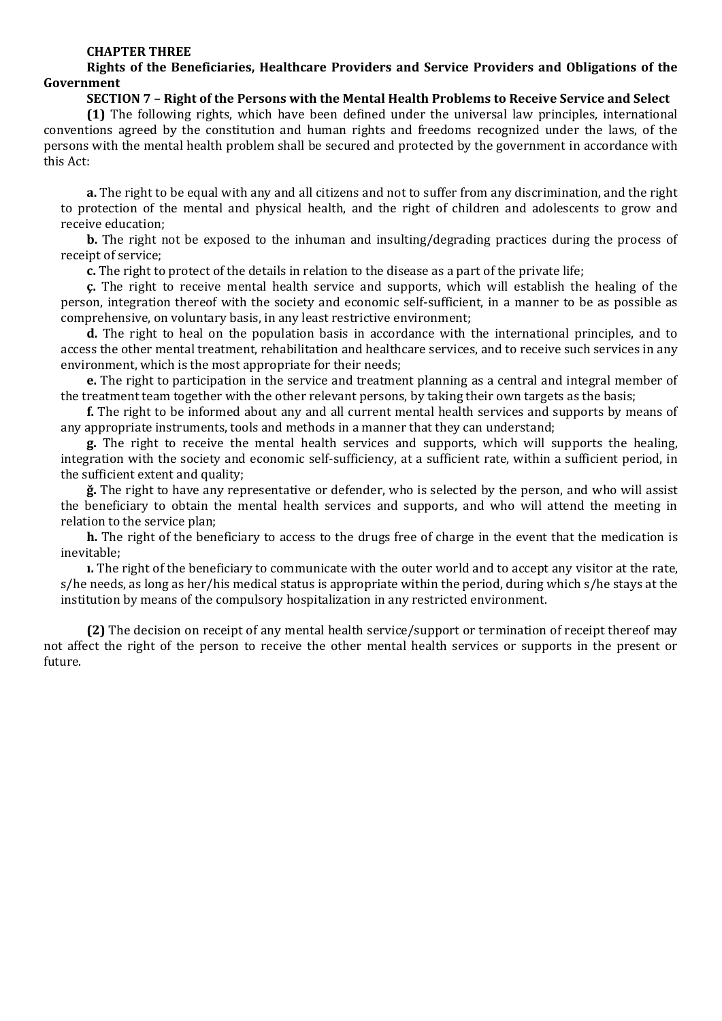#### **CHAPTER THREE**

### **Rights of the Beneficiaries, Healthcare Providers and Service Providers and Obligations of the Government**

#### **SECTION 7 – Right of the Persons with the Mental Health Problems to Receive Service and Select**

**(1)** The following rights, which have been defined under the universal law principles, international conventions agreed by the constitution and human rights and freedoms recognized under the laws, of the persons with the mental health problem shall be secured and protected by the government in accordance with this Act:

**a.** The right to be equal with any and all citizens and not to suffer from any discrimination, and the right to protection of the mental and physical health, and the right of children and adolescents to grow and receive education;

**b.** The right not be exposed to the inhuman and insulting/degrading practices during the process of receipt of service;

**c.** The right to protect of the details in relation to the disease as a part of the private life;

**ç.** The right to receive mental health service and supports, which will establish the healing of the person, integration thereof with the society and economic self-sufficient, in a manner to be as possible as comprehensive, on voluntary basis, in any least restrictive environment;

**d.** The right to heal on the population basis in accordance with the international principles, and to access the other mental treatment, rehabilitation and healthcare services, and to receive such services in any environment, which is the most appropriate for their needs;

**e.** The right to participation in the service and treatment planning as a central and integral member of the treatment team together with the other relevant persons, by taking their own targets as the basis;

**f.** The right to be informed about any and all current mental health services and supports by means of any appropriate instruments, tools and methods in a manner that they can understand;

**g.** The right to receive the mental health services and supports, which will supports the healing, integration with the society and economic self-sufficiency, at a sufficient rate, within a sufficient period, in the sufficient extent and quality;

**ğ.** The right to have any representative or defender, who is selected by the person, and who will assist the beneficiary to obtain the mental health services and supports, and who will attend the meeting in relation to the service plan;

**h.** The right of the beneficiary to access to the drugs free of charge in the event that the medication is inevitable;

**ı.** The right of the beneficiary to communicate with the outer world and to accept any visitor at the rate, s/he needs, as long as her/his medical status is appropriate within the period, during which s/he stays at the institution by means of the compulsory hospitalization in any restricted environment.

**(2)** The decision on receipt of any mental health service/support or termination of receipt thereof may not affect the right of the person to receive the other mental health services or supports in the present or future.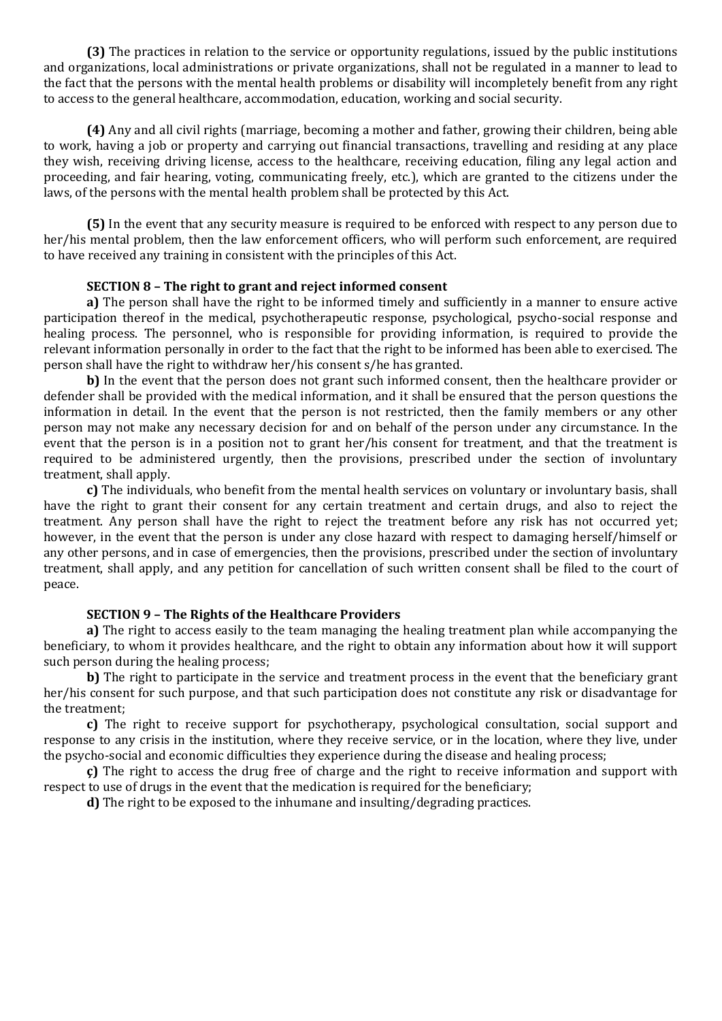**(3)** The practices in relation to the service or opportunity regulations, issued by the public institutions and organizations, local administrations or private organizations, shall not be regulated in a manner to lead to the fact that the persons with the mental health problems or disability will incompletely benefit from any right to access to the general healthcare, accommodation, education, working and social security.

**(4)** Any and all civil rights (marriage, becoming a mother and father, growing their children, being able to work, having a job or property and carrying out financial transactions, travelling and residing at any place they wish, receiving driving license, access to the healthcare, receiving education, filing any legal action and proceeding, and fair hearing, voting, communicating freely, etc.), which are granted to the citizens under the laws, of the persons with the mental health problem shall be protected by this Act.

**(5)** In the event that any security measure is required to be enforced with respect to any person due to her/his mental problem, then the law enforcement officers, who will perform such enforcement, are required to have received any training in consistent with the principles of this Act.

### **SECTION 8 – The right to grant and reject informed consent**

**a)** The person shall have the right to be informed timely and sufficiently in a manner to ensure active participation thereof in the medical, psychotherapeutic response, psychological, psycho-social response and healing process. The personnel, who is responsible for providing information, is required to provide the relevant information personally in order to the fact that the right to be informed has been able to exercised. The person shall have the right to withdraw her/his consent s/he has granted.

**b)** In the event that the person does not grant such informed consent, then the healthcare provider or defender shall be provided with the medical information, and it shall be ensured that the person questions the information in detail. In the event that the person is not restricted, then the family members or any other person may not make any necessary decision for and on behalf of the person under any circumstance. In the event that the person is in a position not to grant her/his consent for treatment, and that the treatment is required to be administered urgently, then the provisions, prescribed under the section of involuntary treatment, shall apply.

**c)** The individuals, who benefit from the mental health services on voluntary or involuntary basis, shall have the right to grant their consent for any certain treatment and certain drugs, and also to reject the treatment. Any person shall have the right to reject the treatment before any risk has not occurred yet; however, in the event that the person is under any close hazard with respect to damaging herself/himself or any other persons, and in case of emergencies, then the provisions, prescribed under the section of involuntary treatment, shall apply, and any petition for cancellation of such written consent shall be filed to the court of peace.

### **SECTION 9 – The Rights of the Healthcare Providers**

**a)** The right to access easily to the team managing the healing treatment plan while accompanying the beneficiary, to whom it provides healthcare, and the right to obtain any information about how it will support such person during the healing process;

**b**) The right to participate in the service and treatment process in the event that the beneficiary grant her/his consent for such purpose, and that such participation does not constitute any risk or disadvantage for the treatment;

**c)** The right to receive support for psychotherapy, psychological consultation, social support and response to any crisis in the institution, where they receive service, or in the location, where they live, under the psycho-social and economic difficulties they experience during the disease and healing process;

**ç)** The right to access the drug free of charge and the right to receive information and support with respect to use of drugs in the event that the medication is required for the beneficiary;

**d)** The right to be exposed to the inhumane and insulting/degrading practices.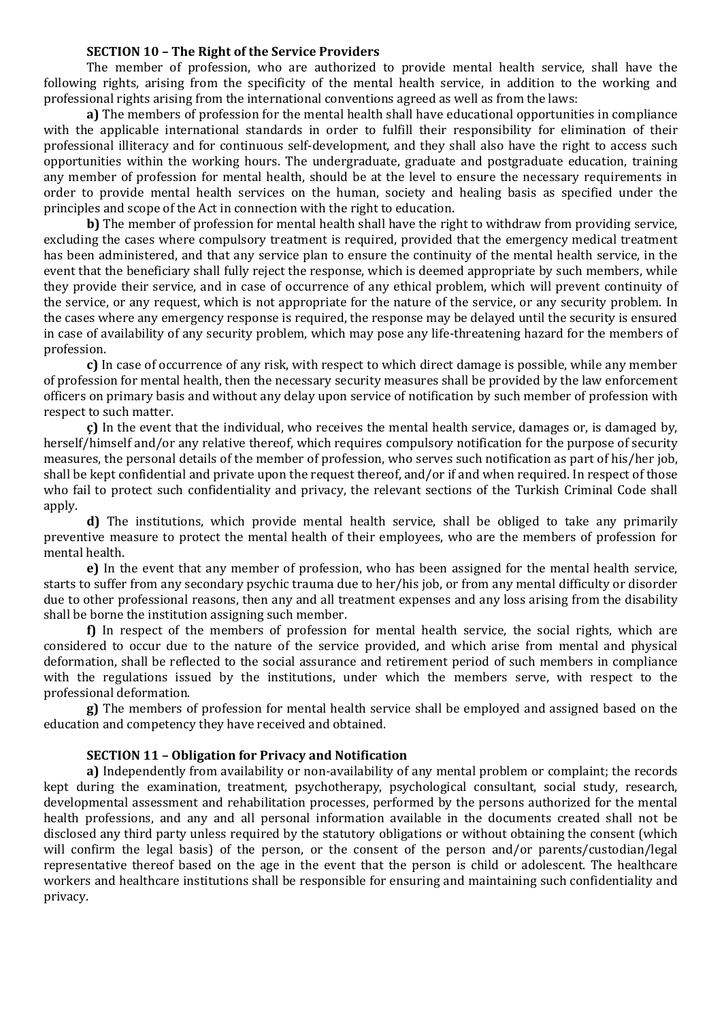### **SECTION 10 – The Right of the Service Providers**

The member of profession, who are authorized to provide mental health service, shall have the following rights, arising from the specificity of the mental health service, in addition to the working and professional rights arising from the international conventions agreed as well as from the laws:

**a)** The members of profession for the mental health shall have educational opportunities in compliance with the applicable international standards in order to fulfill their responsibility for elimination of their professional illiteracy and for continuous self-development, and they shall also have the right to access such opportunities within the working hours. The undergraduate, graduate and postgraduate education, training any member of profession for mental health, should be at the level to ensure the necessary requirements in order to provide mental health services on the human, society and healing basis as specified under the principles and scope of the Act in connection with the right to education.

**b)** The member of profession for mental health shall have the right to withdraw from providing service, excluding the cases where compulsory treatment is required, provided that the emergency medical treatment has been administered, and that any service plan to ensure the continuity of the mental health service, in the event that the beneficiary shall fully reject the response, which is deemed appropriate by such members, while they provide their service, and in case of occurrence of any ethical problem, which will prevent continuity of the service, or any request, which is not appropriate for the nature of the service, or any security problem. In the cases where any emergency response is required, the response may be delayed until the security is ensured in case of availability of any security problem, which may pose any life-threatening hazard for the members of profession.

**c)** In case of occurrence of any risk, with respect to which direct damage is possible, while any member of profession for mental health, then the necessary security measures shall be provided by the law enforcement officers on primary basis and without any delay upon service of notification by such member of profession with respect to such matter.

**ç)** In the event that the individual, who receives the mental health service, damages or, is damaged by, herself/himself and/or any relative thereof, which requires compulsory notification for the purpose of security measures, the personal details of the member of profession, who serves such notification as part of his/her job, shall be kept confidential and private upon the request thereof, and/or if and when required. In respect of those who fail to protect such confidentiality and privacy, the relevant sections of the Turkish Criminal Code shall apply.

**d)** The institutions, which provide mental health service, shall be obliged to take any primarily preventive measure to protect the mental health of their employees, who are the members of profession for mental health.

**e)** In the event that any member of profession, who has been assigned for the mental health service, starts to suffer from any secondary psychic trauma due to her/his job, or from any mental difficulty or disorder due to other professional reasons, then any and all treatment expenses and any loss arising from the disability shall be borne the institution assigning such member.

**f)** In respect of the members of profession for mental health service, the social rights, which are considered to occur due to the nature of the service provided, and which arise from mental and physical deformation, shall be reflected to the social assurance and retirement period of such members in compliance with the regulations issued by the institutions, under which the members serve, with respect to the professional deformation.

**g)** The members of profession for mental health service shall be employed and assigned based on the education and competency they have received and obtained.

#### **SECTION 11 – Obligation for Privacy and Notification**

**a)** Independently from availability or non-availability of any mental problem or complaint; the records kept during the examination, treatment, psychotherapy, psychological consultant, social study, research, developmental assessment and rehabilitation processes, performed by the persons authorized for the mental health professions, and any and all personal information available in the documents created shall not be disclosed any third party unless required by the statutory obligations or without obtaining the consent (which will confirm the legal basis) of the person, or the consent of the person and/or parents/custodian/legal representative thereof based on the age in the event that the person is child or adolescent. The healthcare workers and healthcare institutions shall be responsible for ensuring and maintaining such confidentiality and privacy.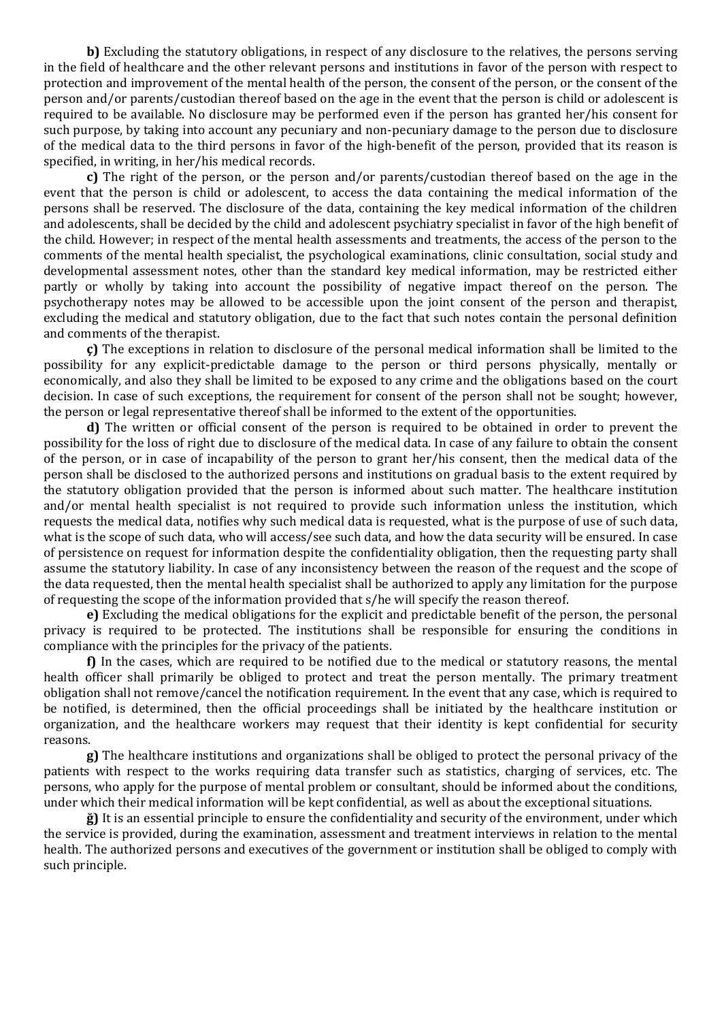**b)** Excluding the statutory obligations, in respect of any disclosure to the relatives, the persons serving in the field of healthcare and the other relevant persons and institutions in favor of the person with respect to protection and improvement of the mental health of the person, the consent of the person, or the consent of the person and/or parents/custodian thereof based on the age in the event that the person is child or adolescent is required to be available. No disclosure may be performed even if the person has granted her/his consent for such purpose, by taking into account any pecuniary and non-pecuniary damage to the person due to disclosure of the medical data to the third persons in favor of the high-benefit of the person, provided that its reason is specified, in writing, in her/his medical records.

**c)** The right of the person, or the person and/or parents/custodian thereof based on the age in the event that the person is child or adolescent, to access the data containing the medical information of the persons shall be reserved. The disclosure of the data, containing the key medical information of the children and adolescents, shall be decided by the child and adolescent psychiatry specialist in favor of the high benefit of the child. However; in respect of the mental health assessments and treatments, the access of the person to the comments of the mental health specialist, the psychological examinations, clinic consultation, social study and developmental assessment notes, other than the standard key medical information, may be restricted either partly or wholly by taking into account the possibility of negative impact thereof on the person. The psychotherapy notes may be allowed to be accessible upon the joint consent of the person and therapist, excluding the medical and statutory obligation, due to the fact that such notes contain the personal definition and comments of the therapist.

**ç)** The exceptions in relation to disclosure of the personal medical information shall be limited to the possibility for any explicit-predictable damage to the person or third persons physically, mentally or economically, and also they shall be limited to be exposed to any crime and the obligations based on the court decision. In case of such exceptions, the requirement for consent of the person shall not be sought; however, the person or legal representative thereof shall be informed to the extent of the opportunities.

**d)** The written or official consent of the person is required to be obtained in order to prevent the possibility for the loss of right due to disclosure of the medical data. In case of any failure to obtain the consent of the person, or in case of incapability of the person to grant her/his consent, then the medical data of the person shall be disclosed to the authorized persons and institutions on gradual basis to the extent required by the statutory obligation provided that the person is informed about such matter. The healthcare institution and/or mental health specialist is not required to provide such information unless the institution, which requests the medical data, notifies why such medical data is requested, what is the purpose of use of such data, what is the scope of such data, who will access/see such data, and how the data security will be ensured. In case of persistence on request for information despite the confidentiality obligation, then the requesting party shall assume the statutory liability. In case of any inconsistency between the reason of the request and the scope of the data requested, then the mental health specialist shall be authorized to apply any limitation for the purpose of requesting the scope of the information provided that s/he will specify the reason thereof.

**e)** Excluding the medical obligations for the explicit and predictable benefit of the person, the personal privacy is required to be protected. The institutions shall be responsible for ensuring the conditions in compliance with the principles for the privacy of the patients.

**f)** In the cases, which are required to be notified due to the medical or statutory reasons, the mental health officer shall primarily be obliged to protect and treat the person mentally. The primary treatment obligation shall not remove/cancel the notification requirement. In the event that any case, which is required to be notified, is determined, then the official proceedings shall be initiated by the healthcare institution or organization, and the healthcare workers may request that their identity is kept confidential for security reasons.

**g)** The healthcare institutions and organizations shall be obliged to protect the personal privacy of the patients with respect to the works requiring data transfer such as statistics, charging of services, etc. The persons, who apply for the purpose of mental problem or consultant, should be informed about the conditions, under which their medical information will be kept confidential, as well as about the exceptional situations.

**ğ)** It is an essential principle to ensure the confidentiality and security of the environment, under which the service is provided, during the examination, assessment and treatment interviews in relation to the mental health. The authorized persons and executives of the government or institution shall be obliged to comply with such principle.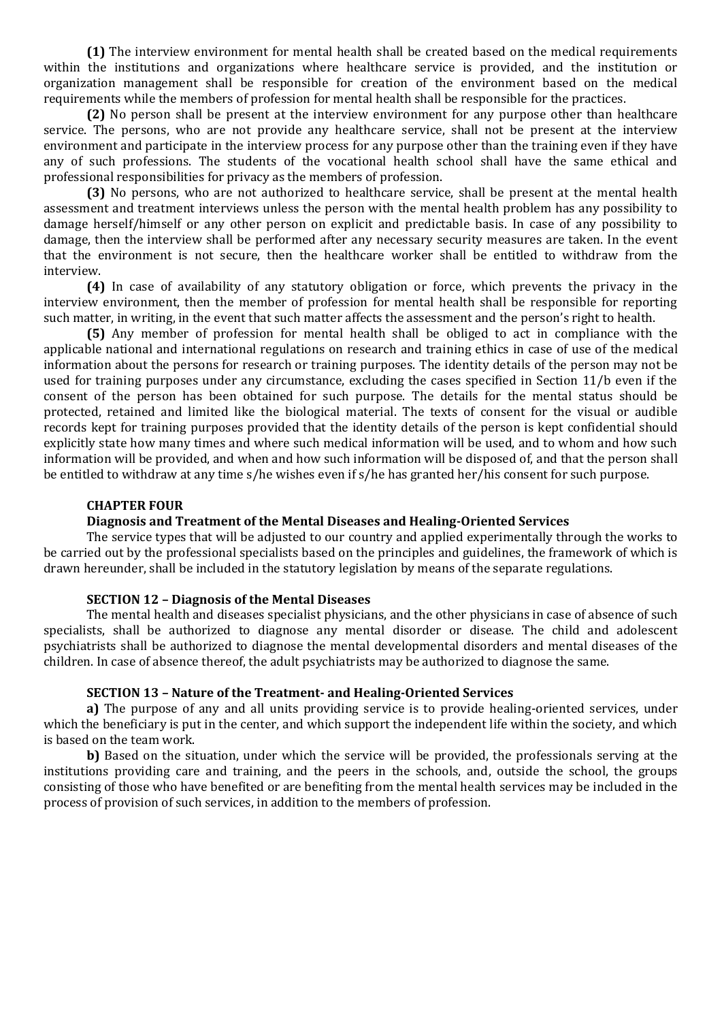**(1)** The interview environment for mental health shall be created based on the medical requirements within the institutions and organizations where healthcare service is provided, and the institution or organization management shall be responsible for creation of the environment based on the medical requirements while the members of profession for mental health shall be responsible for the practices.

**(2)** No person shall be present at the interview environment for any purpose other than healthcare service. The persons, who are not provide any healthcare service, shall not be present at the interview environment and participate in the interview process for any purpose other than the training even if they have any of such professions. The students of the vocational health school shall have the same ethical and professional responsibilities for privacy as the members of profession.

**(3)** No persons, who are not authorized to healthcare service, shall be present at the mental health assessment and treatment interviews unless the person with the mental health problem has any possibility to damage herself/himself or any other person on explicit and predictable basis. In case of any possibility to damage, then the interview shall be performed after any necessary security measures are taken. In the event that the environment is not secure, then the healthcare worker shall be entitled to withdraw from the interview.

**(4)** In case of availability of any statutory obligation or force, which prevents the privacy in the interview environment, then the member of profession for mental health shall be responsible for reporting such matter, in writing, in the event that such matter affects the assessment and the person's right to health.

**(5)** Any member of profession for mental health shall be obliged to act in compliance with the applicable national and international regulations on research and training ethics in case of use of the medical information about the persons for research or training purposes. The identity details of the person may not be used for training purposes under any circumstance, excluding the cases specified in Section 11/b even if the consent of the person has been obtained for such purpose. The details for the mental status should be protected, retained and limited like the biological material. The texts of consent for the visual or audible records kept for training purposes provided that the identity details of the person is kept confidential should explicitly state how many times and where such medical information will be used, and to whom and how such information will be provided, and when and how such information will be disposed of, and that the person shall be entitled to withdraw at any time s/he wishes even if s/he has granted her/his consent for such purpose.

### **CHAPTER FOUR**

#### **Diagnosis and Treatment of the Mental Diseases and Healing-Oriented Services**

The service types that will be adjusted to our country and applied experimentally through the works to be carried out by the professional specialists based on the principles and guidelines, the framework of which is drawn hereunder, shall be included in the statutory legislation by means of the separate regulations.

#### **SECTION 12 – Diagnosis of the Mental Diseases**

The mental health and diseases specialist physicians, and the other physicians in case of absence of such specialists, shall be authorized to diagnose any mental disorder or disease. The child and adolescent psychiatrists shall be authorized to diagnose the mental developmental disorders and mental diseases of the children. In case of absence thereof, the adult psychiatrists may be authorized to diagnose the same.

### **SECTION 13 – Nature of the Treatment- and Healing-Oriented Services**

**a)** The purpose of any and all units providing service is to provide healing-oriented services, under which the beneficiary is put in the center, and which support the independent life within the society, and which is based on the team work.

**b)** Based on the situation, under which the service will be provided, the professionals serving at the institutions providing care and training, and the peers in the schools, and, outside the school, the groups consisting of those who have benefited or are benefiting from the mental health services may be included in the process of provision of such services, in addition to the members of profession.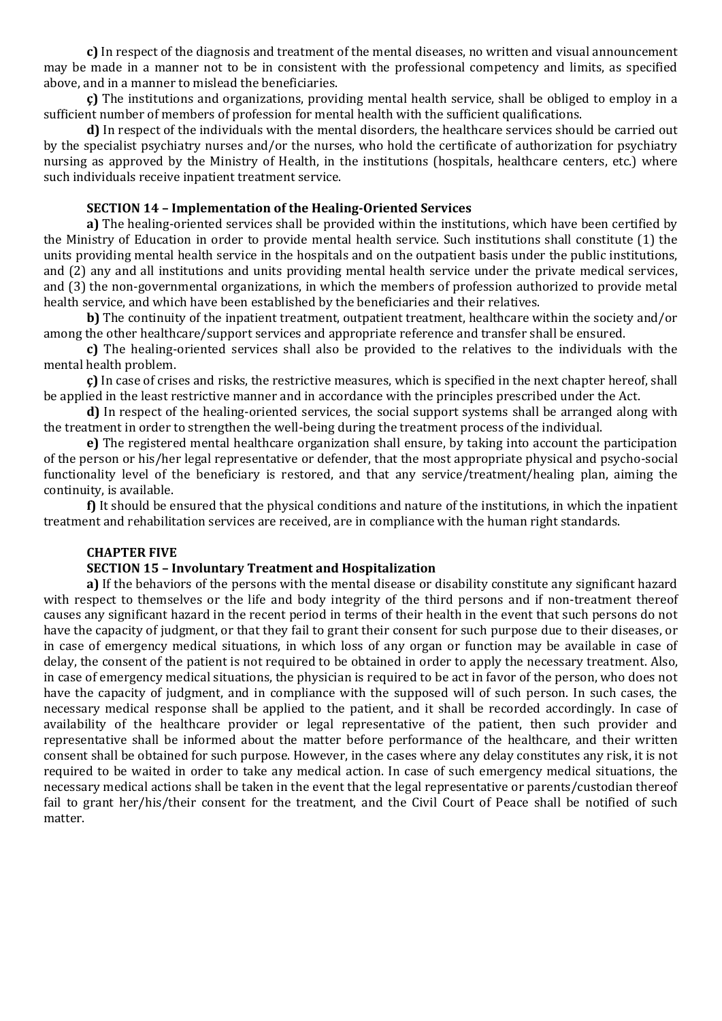**c)** In respect of the diagnosis and treatment of the mental diseases, no written and visual announcement may be made in a manner not to be in consistent with the professional competency and limits, as specified above, and in a manner to mislead the beneficiaries.

**ç)** The institutions and organizations, providing mental health service, shall be obliged to employ in a sufficient number of members of profession for mental health with the sufficient qualifications.

**d)** In respect of the individuals with the mental disorders, the healthcare services should be carried out by the specialist psychiatry nurses and/or the nurses, who hold the certificate of authorization for psychiatry nursing as approved by the Ministry of Health, in the institutions (hospitals, healthcare centers, etc.) where such individuals receive inpatient treatment service.

## **SECTION 14 – Implementation of the Healing-Oriented Services**

**a)** The healing-oriented services shall be provided within the institutions, which have been certified by the Ministry of Education in order to provide mental health service. Such institutions shall constitute (1) the units providing mental health service in the hospitals and on the outpatient basis under the public institutions, and (2) any and all institutions and units providing mental health service under the private medical services, and (3) the non-governmental organizations, in which the members of profession authorized to provide metal health service, and which have been established by the beneficiaries and their relatives.

**b)** The continuity of the inpatient treatment, outpatient treatment, healthcare within the society and/or among the other healthcare/support services and appropriate reference and transfer shall be ensured.

**c)** The healing-oriented services shall also be provided to the relatives to the individuals with the mental health problem.

**ç)** In case of crises and risks, the restrictive measures, which is specified in the next chapter hereof, shall be applied in the least restrictive manner and in accordance with the principles prescribed under the Act.

**d)** In respect of the healing-oriented services, the social support systems shall be arranged along with the treatment in order to strengthen the well-being during the treatment process of the individual.

**e)** The registered mental healthcare organization shall ensure, by taking into account the participation of the person or his/her legal representative or defender, that the most appropriate physical and psycho-social functionality level of the beneficiary is restored, and that any service/treatment/healing plan, aiming the continuity, is available.

**f)** It should be ensured that the physical conditions and nature of the institutions, in which the inpatient treatment and rehabilitation services are received, are in compliance with the human right standards.

## **CHAPTER FIVE**

### **SECTION 15 – Involuntary Treatment and Hospitalization**

**a)** If the behaviors of the persons with the mental disease or disability constitute any significant hazard with respect to themselves or the life and body integrity of the third persons and if non-treatment thereof causes any significant hazard in the recent period in terms of their health in the event that such persons do not have the capacity of judgment, or that they fail to grant their consent for such purpose due to their diseases, or in case of emergency medical situations, in which loss of any organ or function may be available in case of delay, the consent of the patient is not required to be obtained in order to apply the necessary treatment. Also, in case of emergency medical situations, the physician is required to be act in favor of the person, who does not have the capacity of judgment, and in compliance with the supposed will of such person. In such cases, the necessary medical response shall be applied to the patient, and it shall be recorded accordingly. In case of availability of the healthcare provider or legal representative of the patient, then such provider and representative shall be informed about the matter before performance of the healthcare, and their written consent shall be obtained for such purpose. However, in the cases where any delay constitutes any risk, it is not required to be waited in order to take any medical action. In case of such emergency medical situations, the necessary medical actions shall be taken in the event that the legal representative or parents/custodian thereof fail to grant her/his/their consent for the treatment, and the Civil Court of Peace shall be notified of such matter.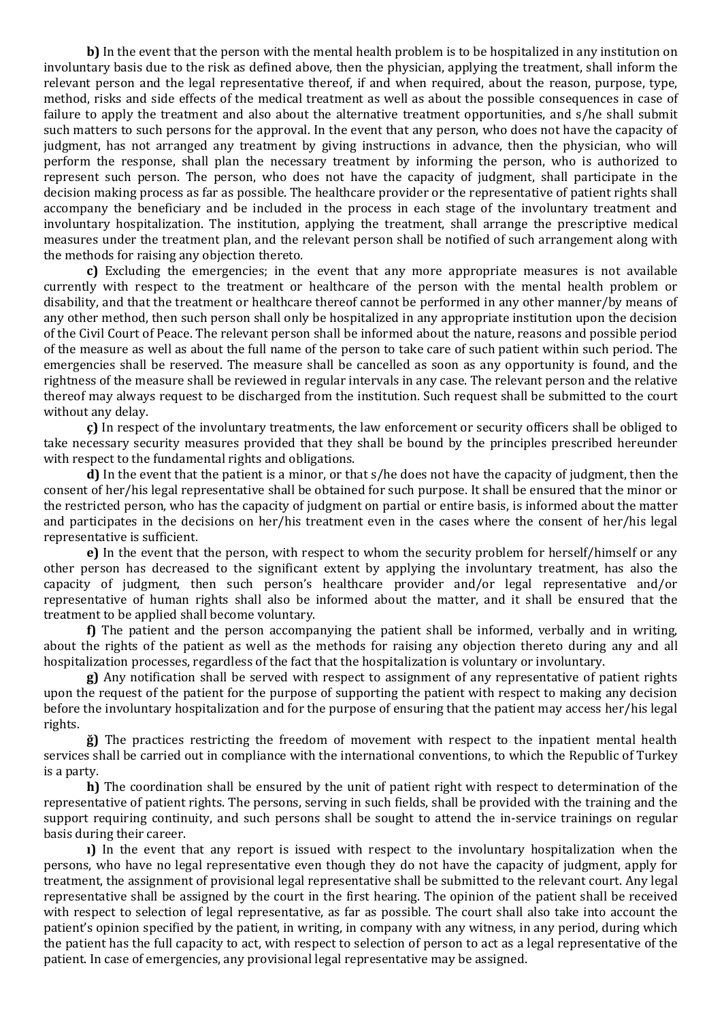**b)** In the event that the person with the mental health problem is to be hospitalized in any institution on involuntary basis due to the risk as defined above, then the physician, applying the treatment, shall inform the relevant person and the legal representative thereof, if and when required, about the reason, purpose, type, method, risks and side effects of the medical treatment as well as about the possible consequences in case of failure to apply the treatment and also about the alternative treatment opportunities, and s/he shall submit such matters to such persons for the approval. In the event that any person, who does not have the capacity of judgment, has not arranged any treatment by giving instructions in advance, then the physician, who will perform the response, shall plan the necessary treatment by informing the person, who is authorized to represent such person. The person, who does not have the capacity of judgment, shall participate in the decision making process as far as possible. The healthcare provider or the representative of patient rights shall accompany the beneficiary and be included in the process in each stage of the involuntary treatment and involuntary hospitalization. The institution, applying the treatment, shall arrange the prescriptive medical measures under the treatment plan, and the relevant person shall be notified of such arrangement along with the methods for raising any objection thereto.

**c)** Excluding the emergencies; in the event that any more appropriate measures is not available currently with respect to the treatment or healthcare of the person with the mental health problem or disability, and that the treatment or healthcare thereof cannot be performed in any other manner/by means of any other method, then such person shall only be hospitalized in any appropriate institution upon the decision of the Civil Court of Peace. The relevant person shall be informed about the nature, reasons and possible period of the measure as well as about the full name of the person to take care of such patient within such period. The emergencies shall be reserved. The measure shall be cancelled as soon as any opportunity is found, and the rightness of the measure shall be reviewed in regular intervals in any case. The relevant person and the relative thereof may always request to be discharged from the institution. Such request shall be submitted to the court without any delay.

**ç)** In respect of the involuntary treatments, the law enforcement or security officers shall be obliged to take necessary security measures provided that they shall be bound by the principles prescribed hereunder with respect to the fundamental rights and obligations.

**d)** In the event that the patient is a minor, or that s/he does not have the capacity of judgment, then the consent of her/his legal representative shall be obtained for such purpose. It shall be ensured that the minor or the restricted person, who has the capacity of judgment on partial or entire basis, is informed about the matter and participates in the decisions on her/his treatment even in the cases where the consent of her/his legal representative is sufficient.

**e)** In the event that the person, with respect to whom the security problem for herself/himself or any other person has decreased to the significant extent by applying the involuntary treatment, has also the capacity of judgment, then such person's healthcare provider and/or legal representative and/or representative of human rights shall also be informed about the matter, and it shall be ensured that the treatment to be applied shall become voluntary.

**f)** The patient and the person accompanying the patient shall be informed, verbally and in writing, about the rights of the patient as well as the methods for raising any objection thereto during any and all hospitalization processes, regardless of the fact that the hospitalization is voluntary or involuntary.

**g)** Any notification shall be served with respect to assignment of any representative of patient rights upon the request of the patient for the purpose of supporting the patient with respect to making any decision before the involuntary hospitalization and for the purpose of ensuring that the patient may access her/his legal rights.

**ğ)** The practices restricting the freedom of movement with respect to the inpatient mental health services shall be carried out in compliance with the international conventions, to which the Republic of Turkey is a party.

**h)** The coordination shall be ensured by the unit of patient right with respect to determination of the representative of patient rights. The persons, serving in such fields, shall be provided with the training and the support requiring continuity, and such persons shall be sought to attend the in-service trainings on regular basis during their career.

**ı)** In the event that any report is issued with respect to the involuntary hospitalization when the persons, who have no legal representative even though they do not have the capacity of judgment, apply for treatment, the assignment of provisional legal representative shall be submitted to the relevant court. Any legal representative shall be assigned by the court in the first hearing. The opinion of the patient shall be received with respect to selection of legal representative, as far as possible. The court shall also take into account the patient's opinion specified by the patient, in writing, in company with any witness, in any period, during which the patient has the full capacity to act, with respect to selection of person to act as a legal representative of the patient. In case of emergencies, any provisional legal representative may be assigned.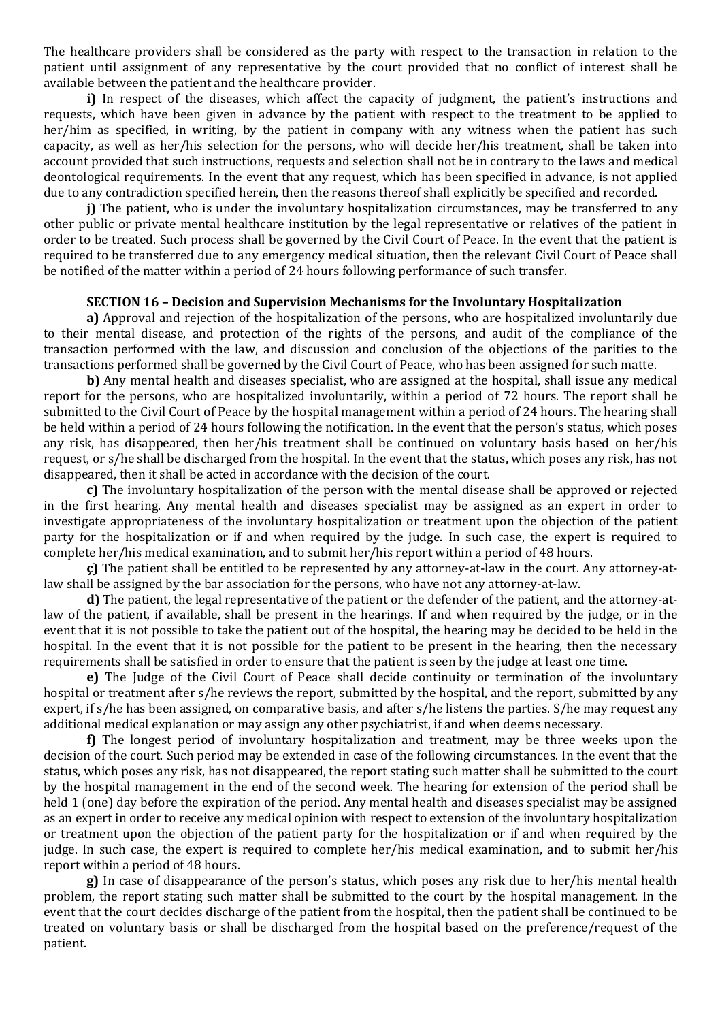The healthcare providers shall be considered as the party with respect to the transaction in relation to the patient until assignment of any representative by the court provided that no conflict of interest shall be available between the patient and the healthcare provider.

**i)** In respect of the diseases, which affect the capacity of judgment, the patient's instructions and requests, which have been given in advance by the patient with respect to the treatment to be applied to her/him as specified, in writing, by the patient in company with any witness when the patient has such capacity, as well as her/his selection for the persons, who will decide her/his treatment, shall be taken into account provided that such instructions, requests and selection shall not be in contrary to the laws and medical deontological requirements. In the event that any request, which has been specified in advance, is not applied due to any contradiction specified herein, then the reasons thereof shall explicitly be specified and recorded.

**j)** The patient, who is under the involuntary hospitalization circumstances, may be transferred to any other public or private mental healthcare institution by the legal representative or relatives of the patient in order to be treated. Such process shall be governed by the Civil Court of Peace. In the event that the patient is required to be transferred due to any emergency medical situation, then the relevant Civil Court of Peace shall be notified of the matter within a period of 24 hours following performance of such transfer.

#### **SECTION 16 – Decision and Supervision Mechanisms for the Involuntary Hospitalization**

**a)** Approval and rejection of the hospitalization of the persons, who are hospitalized involuntarily due to their mental disease, and protection of the rights of the persons, and audit of the compliance of the transaction performed with the law, and discussion and conclusion of the objections of the parities to the transactions performed shall be governed by the Civil Court of Peace, who has been assigned for such matte.

**b)** Any mental health and diseases specialist, who are assigned at the hospital, shall issue any medical report for the persons, who are hospitalized involuntarily, within a period of 72 hours. The report shall be submitted to the Civil Court of Peace by the hospital management within a period of 24 hours. The hearing shall be held within a period of 24 hours following the notification. In the event that the person's status, which poses any risk, has disappeared, then her/his treatment shall be continued on voluntary basis based on her/his request, or s/he shall be discharged from the hospital. In the event that the status, which poses any risk, has not disappeared, then it shall be acted in accordance with the decision of the court.

**c)** The involuntary hospitalization of the person with the mental disease shall be approved or rejected in the first hearing. Any mental health and diseases specialist may be assigned as an expert in order to investigate appropriateness of the involuntary hospitalization or treatment upon the objection of the patient party for the hospitalization or if and when required by the judge. In such case, the expert is required to complete her/his medical examination, and to submit her/his report within a period of 48 hours.

**ç)** The patient shall be entitled to be represented by any attorney-at-law in the court. Any attorney-atlaw shall be assigned by the bar association for the persons, who have not any attorney-at-law.

**d)** The patient, the legal representative of the patient or the defender of the patient, and the attorney-atlaw of the patient, if available, shall be present in the hearings. If and when required by the judge, or in the event that it is not possible to take the patient out of the hospital, the hearing may be decided to be held in the hospital. In the event that it is not possible for the patient to be present in the hearing, then the necessary requirements shall be satisfied in order to ensure that the patient is seen by the judge at least one time.

**e)** The Judge of the Civil Court of Peace shall decide continuity or termination of the involuntary hospital or treatment after s/he reviews the report, submitted by the hospital, and the report, submitted by any expert, if s/he has been assigned, on comparative basis, and after s/he listens the parties. S/he may request any additional medical explanation or may assign any other psychiatrist, if and when deems necessary.

**f)** The longest period of involuntary hospitalization and treatment, may be three weeks upon the decision of the court. Such period may be extended in case of the following circumstances. In the event that the status, which poses any risk, has not disappeared, the report stating such matter shall be submitted to the court by the hospital management in the end of the second week. The hearing for extension of the period shall be held 1 (one) day before the expiration of the period. Any mental health and diseases specialist may be assigned as an expert in order to receive any medical opinion with respect to extension of the involuntary hospitalization or treatment upon the objection of the patient party for the hospitalization or if and when required by the judge. In such case, the expert is required to complete her/his medical examination, and to submit her/his report within a period of 48 hours.

**g)** In case of disappearance of the person's status, which poses any risk due to her/his mental health problem, the report stating such matter shall be submitted to the court by the hospital management. In the event that the court decides discharge of the patient from the hospital, then the patient shall be continued to be treated on voluntary basis or shall be discharged from the hospital based on the preference/request of the patient.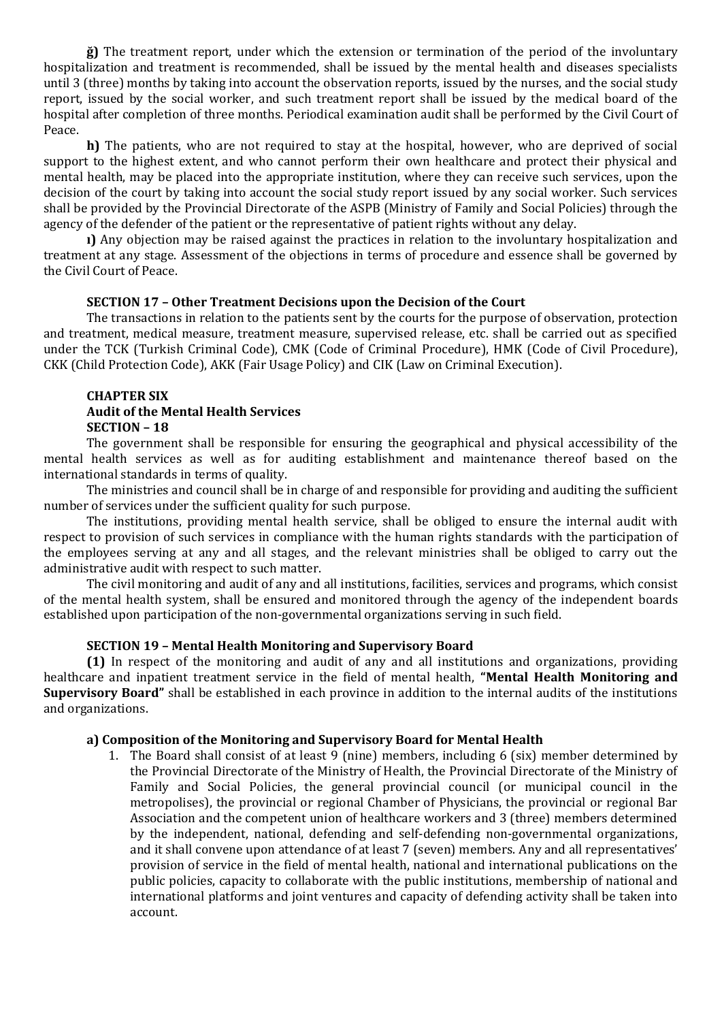**ğ)** The treatment report, under which the extension or termination of the period of the involuntary hospitalization and treatment is recommended, shall be issued by the mental health and diseases specialists until 3 (three) months by taking into account the observation reports, issued by the nurses, and the social study report, issued by the social worker, and such treatment report shall be issued by the medical board of the hospital after completion of three months. Periodical examination audit shall be performed by the Civil Court of Peace.

**h)** The patients, who are not required to stay at the hospital, however, who are deprived of social support to the highest extent, and who cannot perform their own healthcare and protect their physical and mental health, may be placed into the appropriate institution, where they can receive such services, upon the decision of the court by taking into account the social study report issued by any social worker. Such services shall be provided by the Provincial Directorate of the ASPB (Ministry of Family and Social Policies) through the agency of the defender of the patient or the representative of patient rights without any delay.

**ı)** Any objection may be raised against the practices in relation to the involuntary hospitalization and treatment at any stage. Assessment of the objections in terms of procedure and essence shall be governed by the Civil Court of Peace.

#### **SECTION 17 – Other Treatment Decisions upon the Decision of the Court**

The transactions in relation to the patients sent by the courts for the purpose of observation, protection and treatment, medical measure, treatment measure, supervised release, etc. shall be carried out as specified under the TCK (Turkish Criminal Code), CMK (Code of Criminal Procedure), HMK (Code of Civil Procedure), CKK (Child Protection Code), AKK (Fair Usage Policy) and CIK (Law on Criminal Execution).

### **CHAPTER SIX Audit of the Mental Health Services SECTION – 18**

The government shall be responsible for ensuring the geographical and physical accessibility of the mental health services as well as for auditing establishment and maintenance thereof based on the international standards in terms of quality.

The ministries and council shall be in charge of and responsible for providing and auditing the sufficient number of services under the sufficient quality for such purpose.

The institutions, providing mental health service, shall be obliged to ensure the internal audit with respect to provision of such services in compliance with the human rights standards with the participation of the employees serving at any and all stages, and the relevant ministries shall be obliged to carry out the administrative audit with respect to such matter.

The civil monitoring and audit of any and all institutions, facilities, services and programs, which consist of the mental health system, shall be ensured and monitored through the agency of the independent boards established upon participation of the non-governmental organizations serving in such field.

#### **SECTION 19 – Mental Health Monitoring and Supervisory Board**

**(1)** In respect of the monitoring and audit of any and all institutions and organizations, providing healthcare and inpatient treatment service in the field of mental health, **"Mental Health Monitoring and Supervisory Board"** shall be established in each province in addition to the internal audits of the institutions and organizations.

#### **a) Composition of the Monitoring and Supervisory Board for Mental Health**

1. The Board shall consist of at least 9 (nine) members, including 6 (six) member determined by the Provincial Directorate of the Ministry of Health, the Provincial Directorate of the Ministry of Family and Social Policies, the general provincial council (or municipal council in the metropolises), the provincial or regional Chamber of Physicians, the provincial or regional Bar Association and the competent union of healthcare workers and 3 (three) members determined by the independent, national, defending and self-defending non-governmental organizations, and it shall convene upon attendance of at least 7 (seven) members. Any and all representatives' provision of service in the field of mental health, national and international publications on the public policies, capacity to collaborate with the public institutions, membership of national and international platforms and joint ventures and capacity of defending activity shall be taken into account.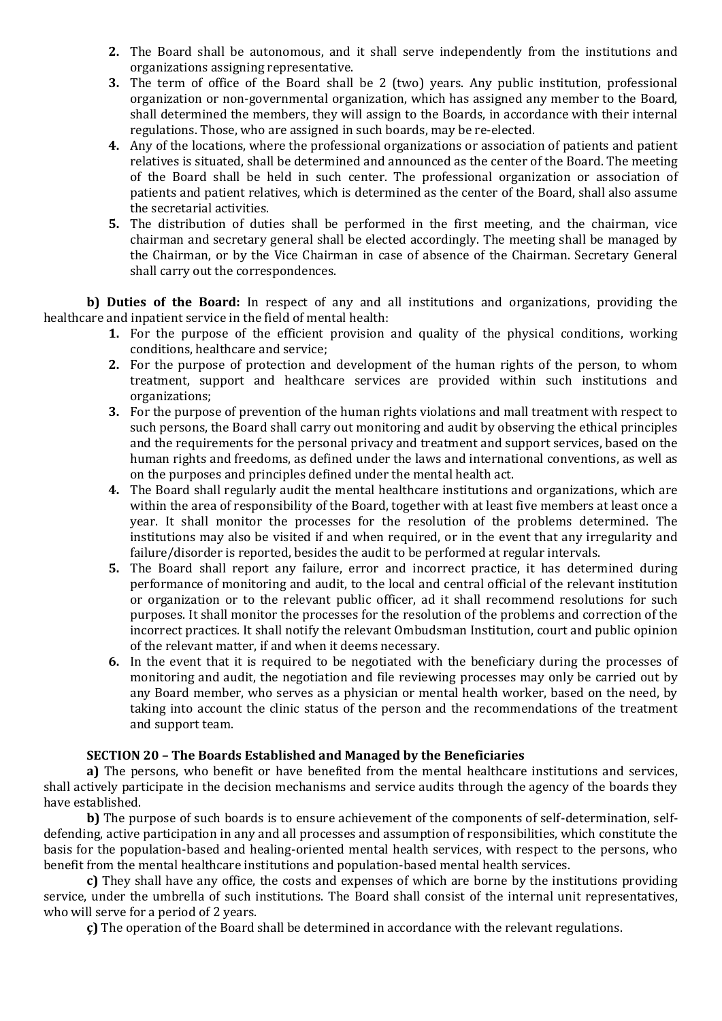- **2.** The Board shall be autonomous, and it shall serve independently from the institutions and organizations assigning representative.
- **3.** The term of office of the Board shall be 2 (two) years. Any public institution, professional organization or non-governmental organization, which has assigned any member to the Board, shall determined the members, they will assign to the Boards, in accordance with their internal regulations. Those, who are assigned in such boards, may be re-elected.
- **4.** Any of the locations, where the professional organizations or association of patients and patient relatives is situated, shall be determined and announced as the center of the Board. The meeting of the Board shall be held in such center. The professional organization or association of patients and patient relatives, which is determined as the center of the Board, shall also assume the secretarial activities.
- **5.** The distribution of duties shall be performed in the first meeting, and the chairman, vice chairman and secretary general shall be elected accordingly. The meeting shall be managed by the Chairman, or by the Vice Chairman in case of absence of the Chairman. Secretary General shall carry out the correspondences.

**b) Duties of the Board:** In respect of any and all institutions and organizations, providing the healthcare and inpatient service in the field of mental health:

- **1.** For the purpose of the efficient provision and quality of the physical conditions, working conditions, healthcare and service;
- **2.** For the purpose of protection and development of the human rights of the person, to whom treatment, support and healthcare services are provided within such institutions and organizations;
- **3.** For the purpose of prevention of the human rights violations and mall treatment with respect to such persons, the Board shall carry out monitoring and audit by observing the ethical principles and the requirements for the personal privacy and treatment and support services, based on the human rights and freedoms, as defined under the laws and international conventions, as well as on the purposes and principles defined under the mental health act.
- **4.** The Board shall regularly audit the mental healthcare institutions and organizations, which are within the area of responsibility of the Board, together with at least five members at least once a year. It shall monitor the processes for the resolution of the problems determined. The institutions may also be visited if and when required, or in the event that any irregularity and failure/disorder is reported, besides the audit to be performed at regular intervals.
- **5.** The Board shall report any failure, error and incorrect practice, it has determined during performance of monitoring and audit, to the local and central official of the relevant institution or organization or to the relevant public officer, ad it shall recommend resolutions for such purposes. It shall monitor the processes for the resolution of the problems and correction of the incorrect practices. It shall notify the relevant Ombudsman Institution, court and public opinion of the relevant matter, if and when it deems necessary.
- **6.** In the event that it is required to be negotiated with the beneficiary during the processes of monitoring and audit, the negotiation and file reviewing processes may only be carried out by any Board member, who serves as a physician or mental health worker, based on the need, by taking into account the clinic status of the person and the recommendations of the treatment and support team.

### **SECTION 20 – The Boards Established and Managed by the Beneficiaries**

**a)** The persons, who benefit or have benefited from the mental healthcare institutions and services, shall actively participate in the decision mechanisms and service audits through the agency of the boards they have established.

**b)** The purpose of such boards is to ensure achievement of the components of self-determination, selfdefending, active participation in any and all processes and assumption of responsibilities, which constitute the basis for the population-based and healing-oriented mental health services, with respect to the persons, who benefit from the mental healthcare institutions and population-based mental health services.

**c)** They shall have any office, the costs and expenses of which are borne by the institutions providing service, under the umbrella of such institutions. The Board shall consist of the internal unit representatives, who will serve for a period of 2 years.

**ç)** The operation of the Board shall be determined in accordance with the relevant regulations.